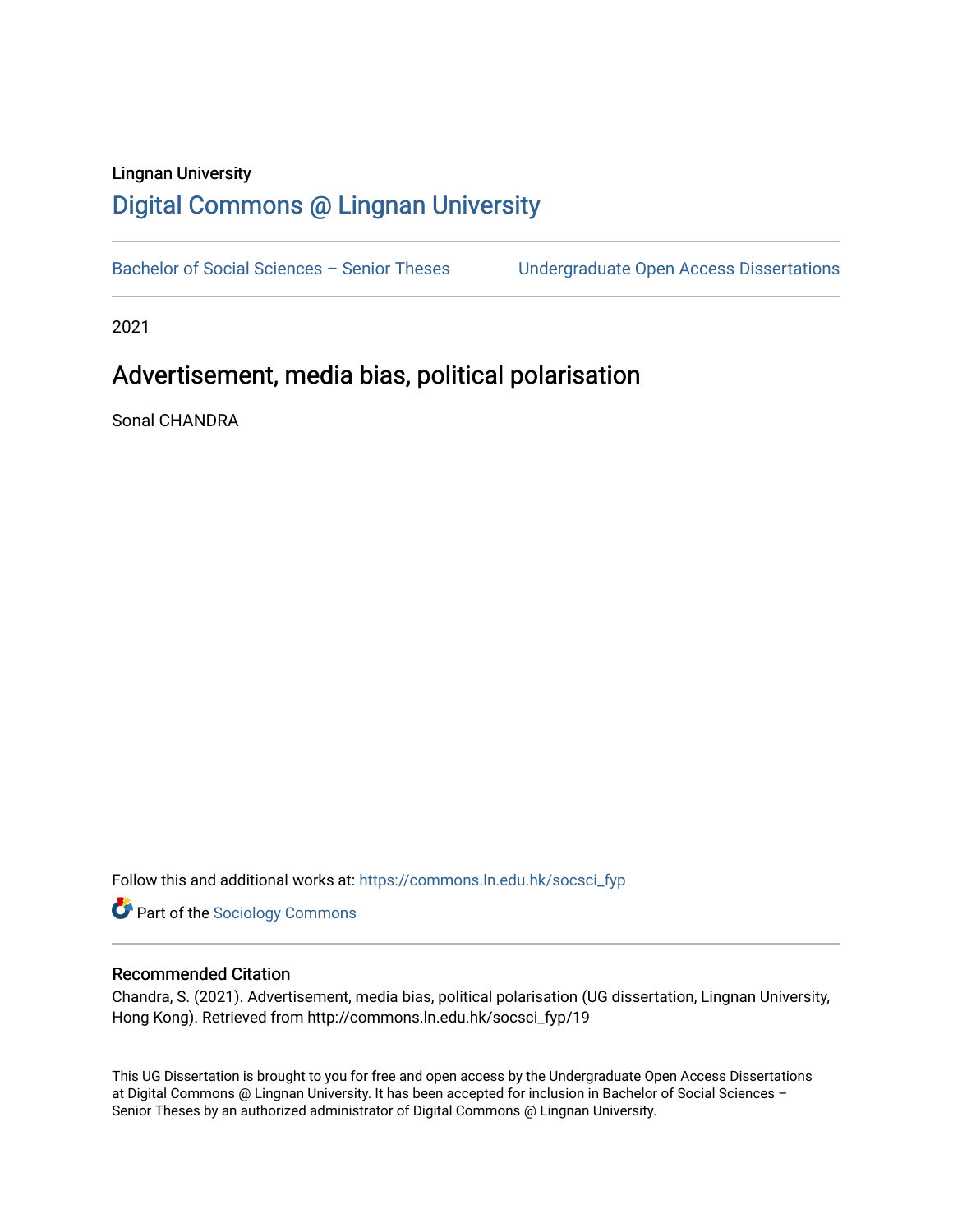# Lingnan University [Digital Commons @ Lingnan University](https://commons.ln.edu.hk/)

Bachelor of Social Sciences - Senior Theses Undergraduate Open Access Dissertations

2021

# Advertisement, media bias, political polarisation

Sonal CHANDRA

Follow this and additional works at: [https://commons.ln.edu.hk/socsci\\_fyp](https://commons.ln.edu.hk/socsci_fyp?utm_source=commons.ln.edu.hk%2Fsocsci_fyp%2F19&utm_medium=PDF&utm_campaign=PDFCoverPages)

**Part of the [Sociology Commons](http://network.bepress.com/hgg/discipline/416?utm_source=commons.ln.edu.hk%2Fsocsci_fyp%2F19&utm_medium=PDF&utm_campaign=PDFCoverPages)** 

#### Recommended Citation

Chandra, S. (2021). Advertisement, media bias, political polarisation (UG dissertation, Lingnan University, Hong Kong). Retrieved from http://commons.ln.edu.hk/socsci\_fyp/19

This UG Dissertation is brought to you for free and open access by the Undergraduate Open Access Dissertations at Digital Commons @ Lingnan University. It has been accepted for inclusion in Bachelor of Social Sciences – Senior Theses by an authorized administrator of Digital Commons @ Lingnan University.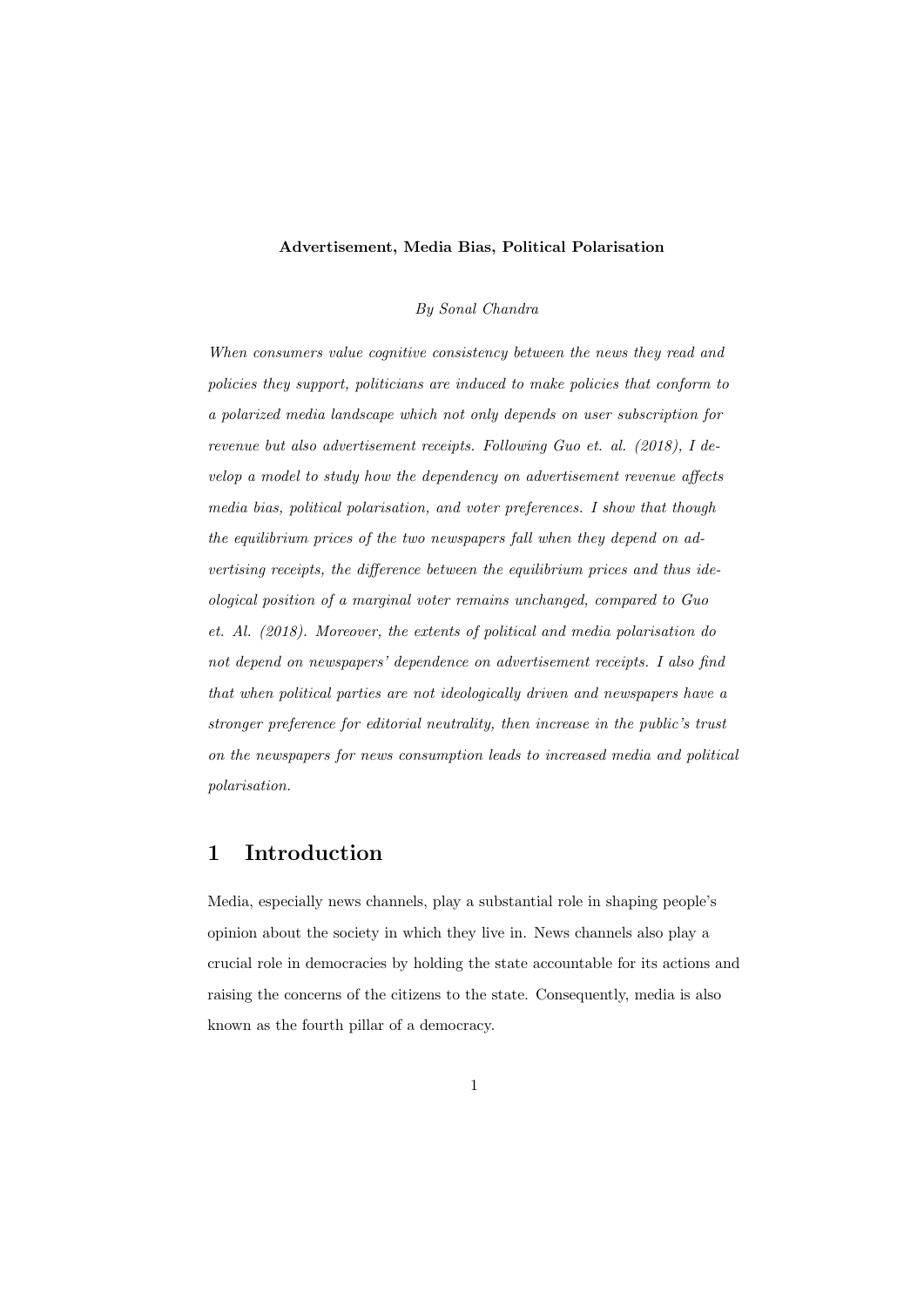#### Advertisement, Media Bias, Political Polarisation

#### By Sonal Chandra

When consumers value cognitive consistency between the news they read and policies they support, politicians are induced to make policies that conform to a polarized media landscape which not only depends on user subscription for revenue but also advertisement receipts. Following Guo et. al. (2018), I develop a model to study how the dependency on advertisement revenue affects media bias, political polarisation, and voter preferences. I show that though the equilibrium prices of the two newspapers fall when they depend on advertising receipts, the difference between the equilibrium prices and thus ideological position of a marginal voter remains unchanged, compared to Guo et. Al. (2018). Moreover, the extents of political and media polarisation do not depend on newspapers' dependence on advertisement receipts. I also find that when political parties are not ideologically driven and newspapers have a stronger preference for editorial neutrality, then increase in the public's trust on the newspapers for news consumption leads to increased media and political polarisation.

## 1 Introduction

Media, especially news channels, play a substantial role in shaping people's opinion about the society in which they live in. News channels also play a crucial role in democracies by holding the state accountable for its actions and raising the concerns of the citizens to the state. Consequently, media is also known as the fourth pillar of a democracy.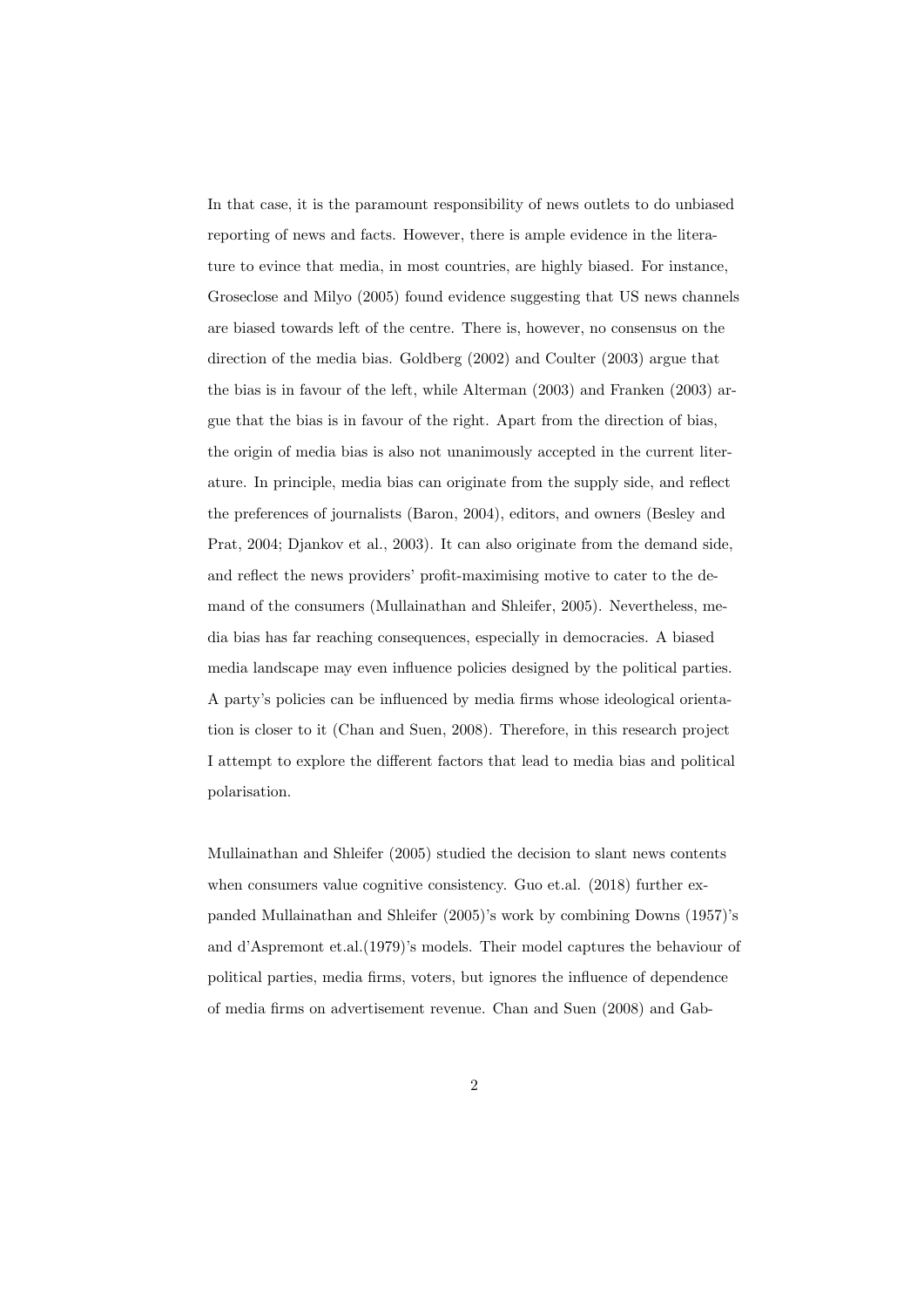In that case, it is the paramount responsibility of news outlets to do unbiased reporting of news and facts. However, there is ample evidence in the literature to evince that media, in most countries, are highly biased. For instance, Groseclose and Milyo (2005) found evidence suggesting that US news channels are biased towards left of the centre. There is, however, no consensus on the direction of the media bias. Goldberg (2002) and Coulter (2003) argue that the bias is in favour of the left, while Alterman (2003) and Franken (2003) argue that the bias is in favour of the right. Apart from the direction of bias, the origin of media bias is also not unanimously accepted in the current literature. In principle, media bias can originate from the supply side, and reflect the preferences of journalists (Baron, 2004), editors, and owners (Besley and Prat, 2004; Djankov et al., 2003). It can also originate from the demand side, and reflect the news providers' profit-maximising motive to cater to the demand of the consumers (Mullainathan and Shleifer, 2005). Nevertheless, media bias has far reaching consequences, especially in democracies. A biased media landscape may even influence policies designed by the political parties. A party's policies can be influenced by media firms whose ideological orientation is closer to it (Chan and Suen, 2008). Therefore, in this research project I attempt to explore the different factors that lead to media bias and political polarisation.

Mullainathan and Shleifer (2005) studied the decision to slant news contents when consumers value cognitive consistency. Guo et.al. (2018) further expanded Mullainathan and Shleifer (2005)'s work by combining Downs (1957)'s and d'Aspremont et.al.(1979)'s models. Their model captures the behaviour of political parties, media firms, voters, but ignores the influence of dependence of media firms on advertisement revenue. Chan and Suen (2008) and Gab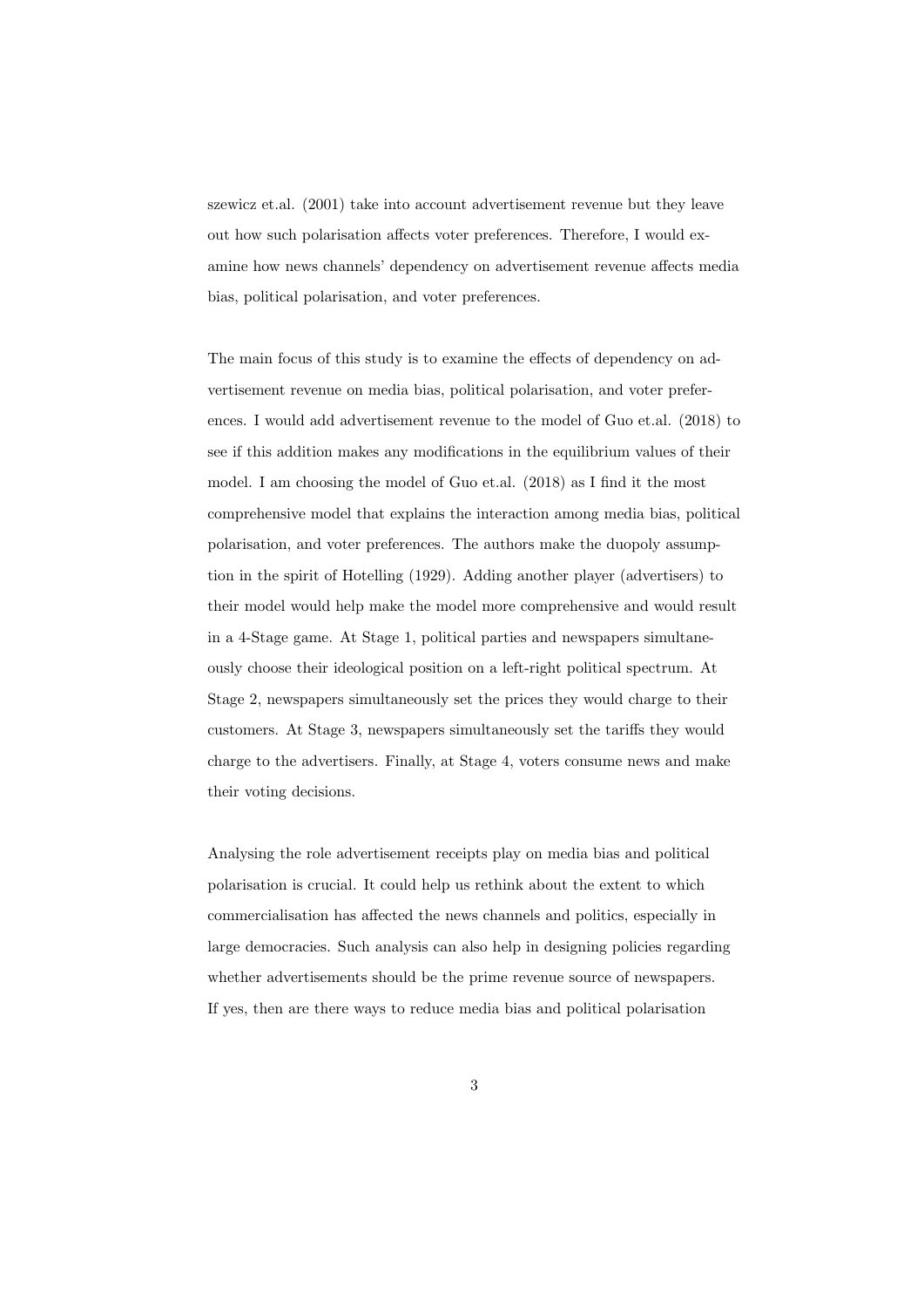szewicz et.al. (2001) take into account advertisement revenue but they leave out how such polarisation affects voter preferences. Therefore, I would examine how news channels' dependency on advertisement revenue affects media bias, political polarisation, and voter preferences.

The main focus of this study is to examine the effects of dependency on advertisement revenue on media bias, political polarisation, and voter preferences. I would add advertisement revenue to the model of Guo et.al. (2018) to see if this addition makes any modifications in the equilibrium values of their model. I am choosing the model of Guo et.al. (2018) as I find it the most comprehensive model that explains the interaction among media bias, political polarisation, and voter preferences. The authors make the duopoly assumption in the spirit of Hotelling (1929). Adding another player (advertisers) to their model would help make the model more comprehensive and would result in a 4-Stage game. At Stage 1, political parties and newspapers simultaneously choose their ideological position on a left-right political spectrum. At Stage 2, newspapers simultaneously set the prices they would charge to their customers. At Stage 3, newspapers simultaneously set the tariffs they would charge to the advertisers. Finally, at Stage 4, voters consume news and make their voting decisions.

Analysing the role advertisement receipts play on media bias and political polarisation is crucial. It could help us rethink about the extent to which commercialisation has affected the news channels and politics, especially in large democracies. Such analysis can also help in designing policies regarding whether advertisements should be the prime revenue source of newspapers. If yes, then are there ways to reduce media bias and political polarisation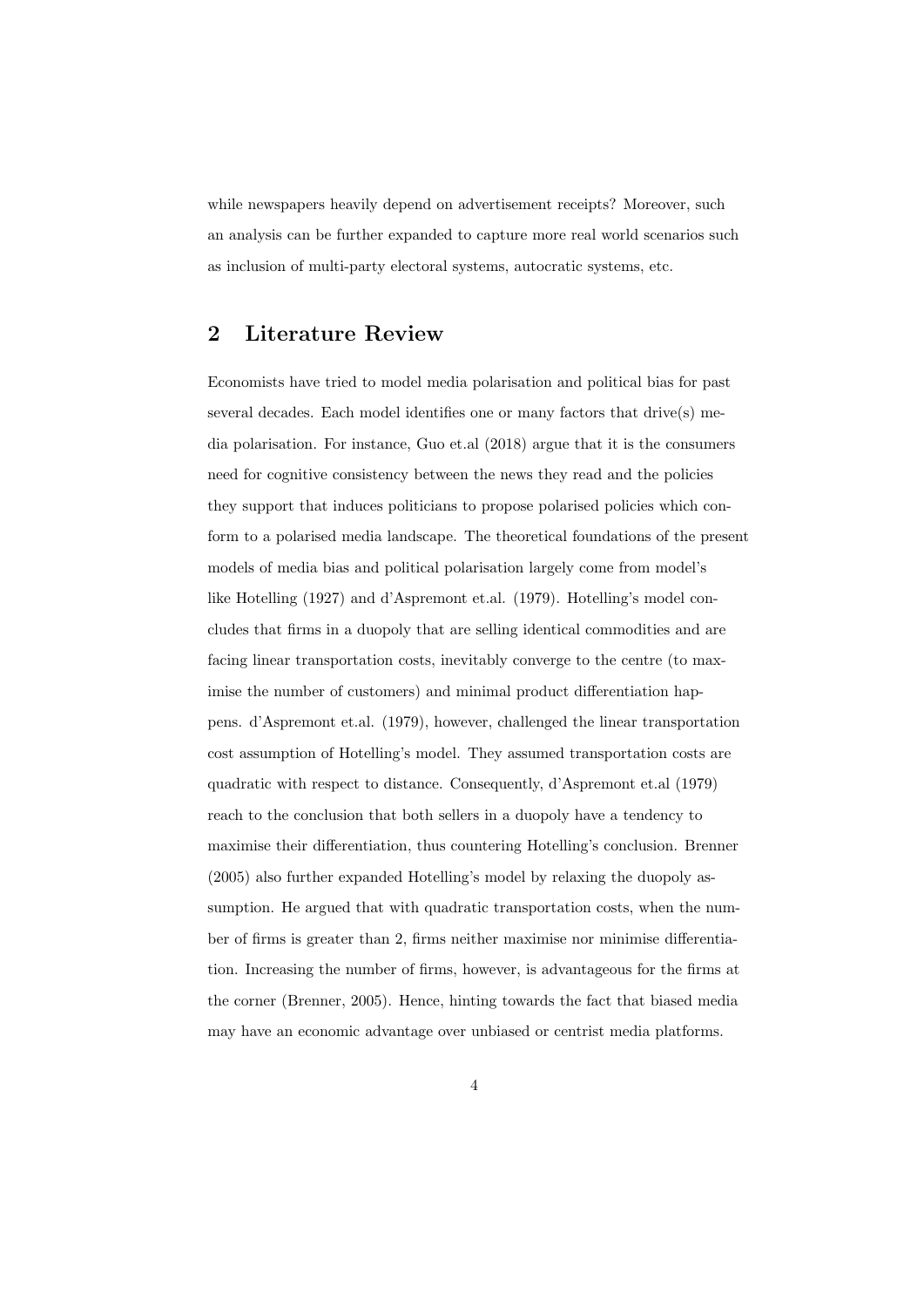while newspapers heavily depend on advertisement receipts? Moreover, such an analysis can be further expanded to capture more real world scenarios such as inclusion of multi-party electoral systems, autocratic systems, etc.

# 2 Literature Review

Economists have tried to model media polarisation and political bias for past several decades. Each model identifies one or many factors that drive(s) media polarisation. For instance, Guo et.al (2018) argue that it is the consumers need for cognitive consistency between the news they read and the policies they support that induces politicians to propose polarised policies which conform to a polarised media landscape. The theoretical foundations of the present models of media bias and political polarisation largely come from model's like Hotelling (1927) and d'Aspremont et.al. (1979). Hotelling's model concludes that firms in a duopoly that are selling identical commodities and are facing linear transportation costs, inevitably converge to the centre (to maximise the number of customers) and minimal product differentiation happens. d'Aspremont et.al. (1979), however, challenged the linear transportation cost assumption of Hotelling's model. They assumed transportation costs are quadratic with respect to distance. Consequently, d'Aspremont et.al (1979) reach to the conclusion that both sellers in a duopoly have a tendency to maximise their differentiation, thus countering Hotelling's conclusion. Brenner (2005) also further expanded Hotelling's model by relaxing the duopoly assumption. He argued that with quadratic transportation costs, when the number of firms is greater than 2, firms neither maximise nor minimise differentiation. Increasing the number of firms, however, is advantageous for the firms at the corner (Brenner, 2005). Hence, hinting towards the fact that biased media may have an economic advantage over unbiased or centrist media platforms.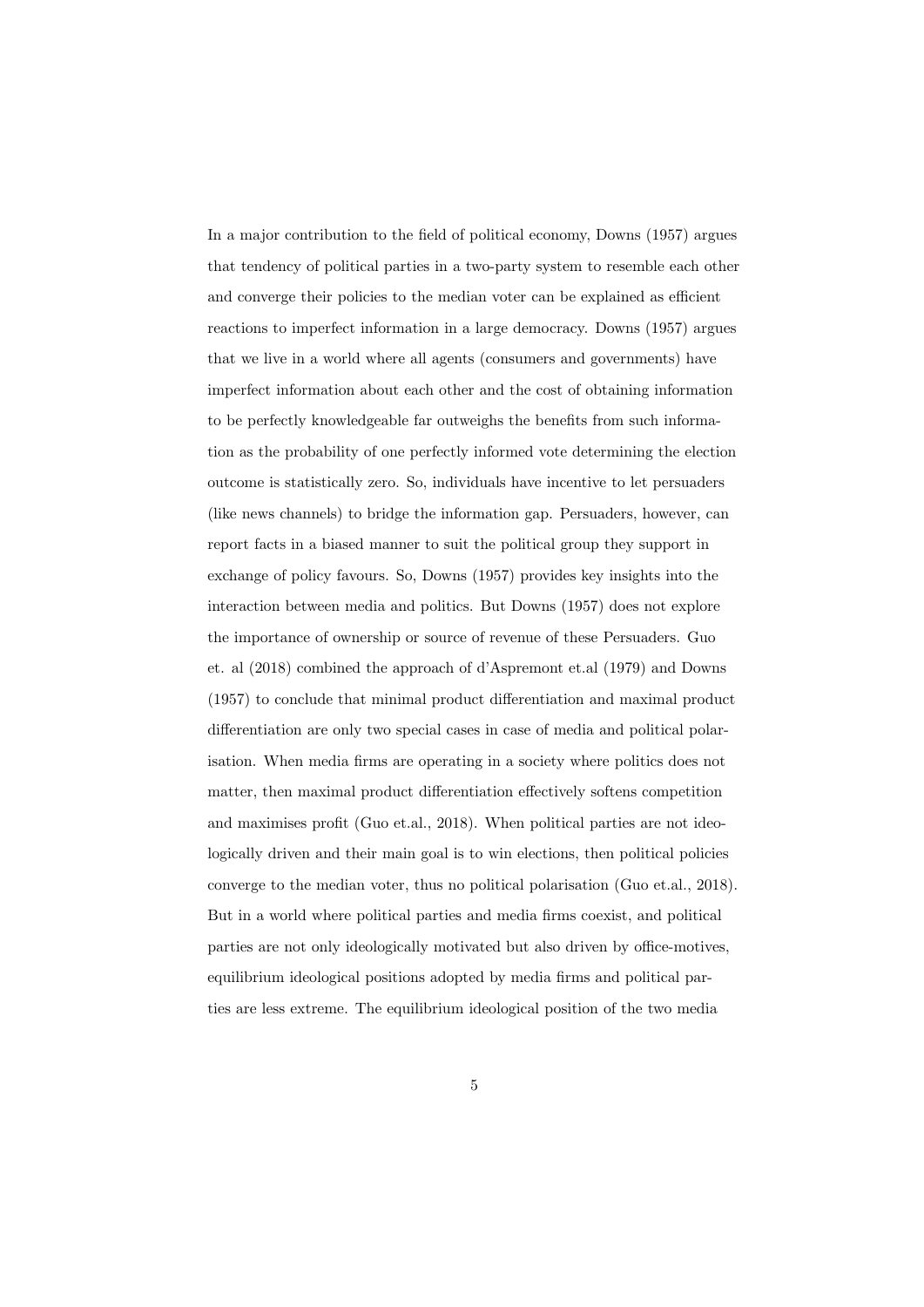In a major contribution to the field of political economy, Downs (1957) argues that tendency of political parties in a two-party system to resemble each other and converge their policies to the median voter can be explained as efficient reactions to imperfect information in a large democracy. Downs (1957) argues that we live in a world where all agents (consumers and governments) have imperfect information about each other and the cost of obtaining information to be perfectly knowledgeable far outweighs the benefits from such information as the probability of one perfectly informed vote determining the election outcome is statistically zero. So, individuals have incentive to let persuaders (like news channels) to bridge the information gap. Persuaders, however, can report facts in a biased manner to suit the political group they support in exchange of policy favours. So, Downs (1957) provides key insights into the interaction between media and politics. But Downs (1957) does not explore the importance of ownership or source of revenue of these Persuaders. Guo et. al (2018) combined the approach of d'Aspremont et.al (1979) and Downs (1957) to conclude that minimal product differentiation and maximal product differentiation are only two special cases in case of media and political polarisation. When media firms are operating in a society where politics does not matter, then maximal product differentiation effectively softens competition and maximises profit (Guo et.al., 2018). When political parties are not ideologically driven and their main goal is to win elections, then political policies converge to the median voter, thus no political polarisation (Guo et.al., 2018). But in a world where political parties and media firms coexist, and political parties are not only ideologically motivated but also driven by office-motives, equilibrium ideological positions adopted by media firms and political parties are less extreme. The equilibrium ideological position of the two media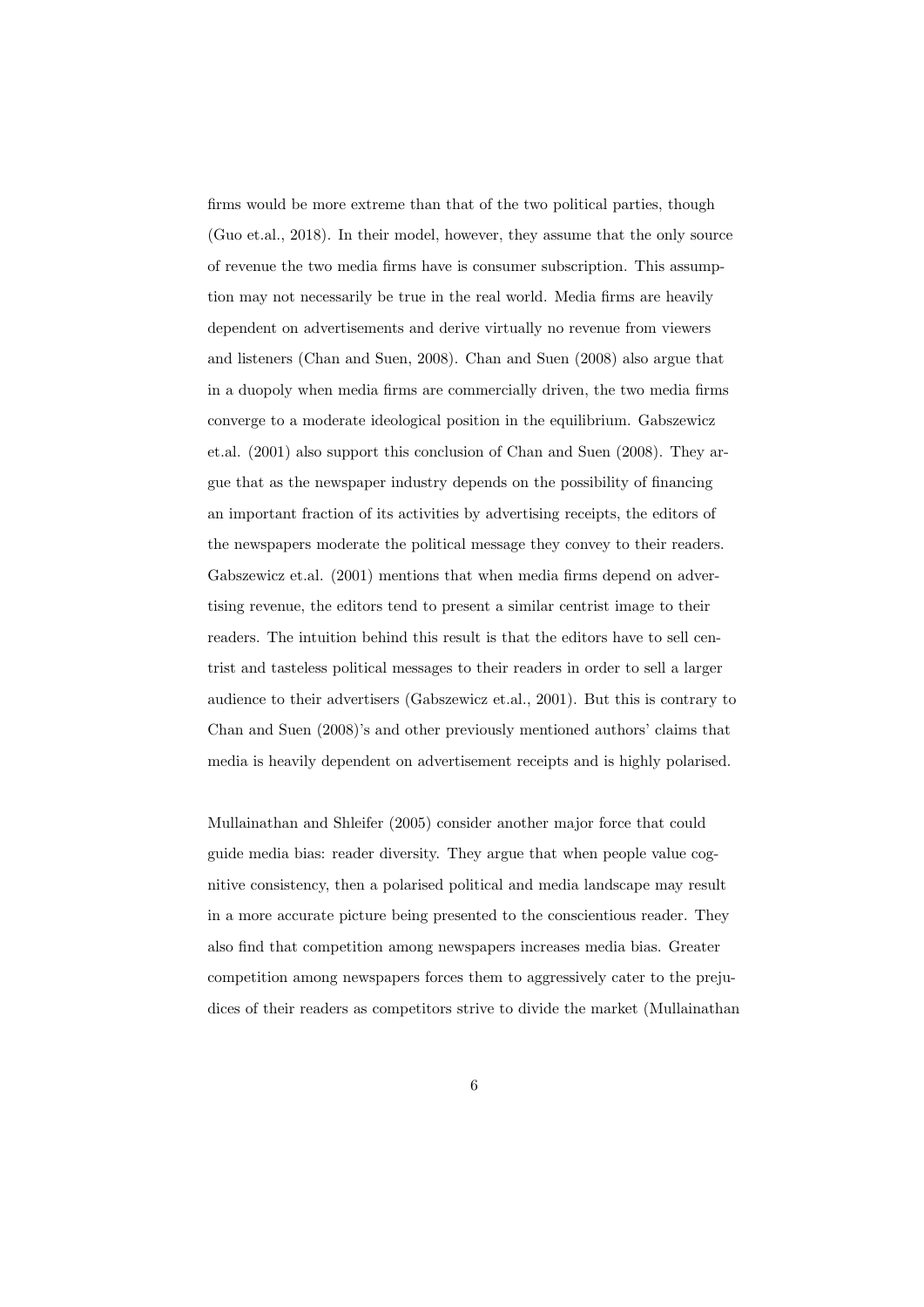firms would be more extreme than that of the two political parties, though (Guo et.al., 2018). In their model, however, they assume that the only source of revenue the two media firms have is consumer subscription. This assumption may not necessarily be true in the real world. Media firms are heavily dependent on advertisements and derive virtually no revenue from viewers and listeners (Chan and Suen, 2008). Chan and Suen (2008) also argue that in a duopoly when media firms are commercially driven, the two media firms converge to a moderate ideological position in the equilibrium. Gabszewicz et.al. (2001) also support this conclusion of Chan and Suen (2008). They argue that as the newspaper industry depends on the possibility of financing an important fraction of its activities by advertising receipts, the editors of the newspapers moderate the political message they convey to their readers. Gabszewicz et.al. (2001) mentions that when media firms depend on advertising revenue, the editors tend to present a similar centrist image to their readers. The intuition behind this result is that the editors have to sell centrist and tasteless political messages to their readers in order to sell a larger audience to their advertisers (Gabszewicz et.al., 2001). But this is contrary to Chan and Suen (2008)'s and other previously mentioned authors' claims that media is heavily dependent on advertisement receipts and is highly polarised.

Mullainathan and Shleifer (2005) consider another major force that could guide media bias: reader diversity. They argue that when people value cognitive consistency, then a polarised political and media landscape may result in a more accurate picture being presented to the conscientious reader. They also find that competition among newspapers increases media bias. Greater competition among newspapers forces them to aggressively cater to the prejudices of their readers as competitors strive to divide the market (Mullainathan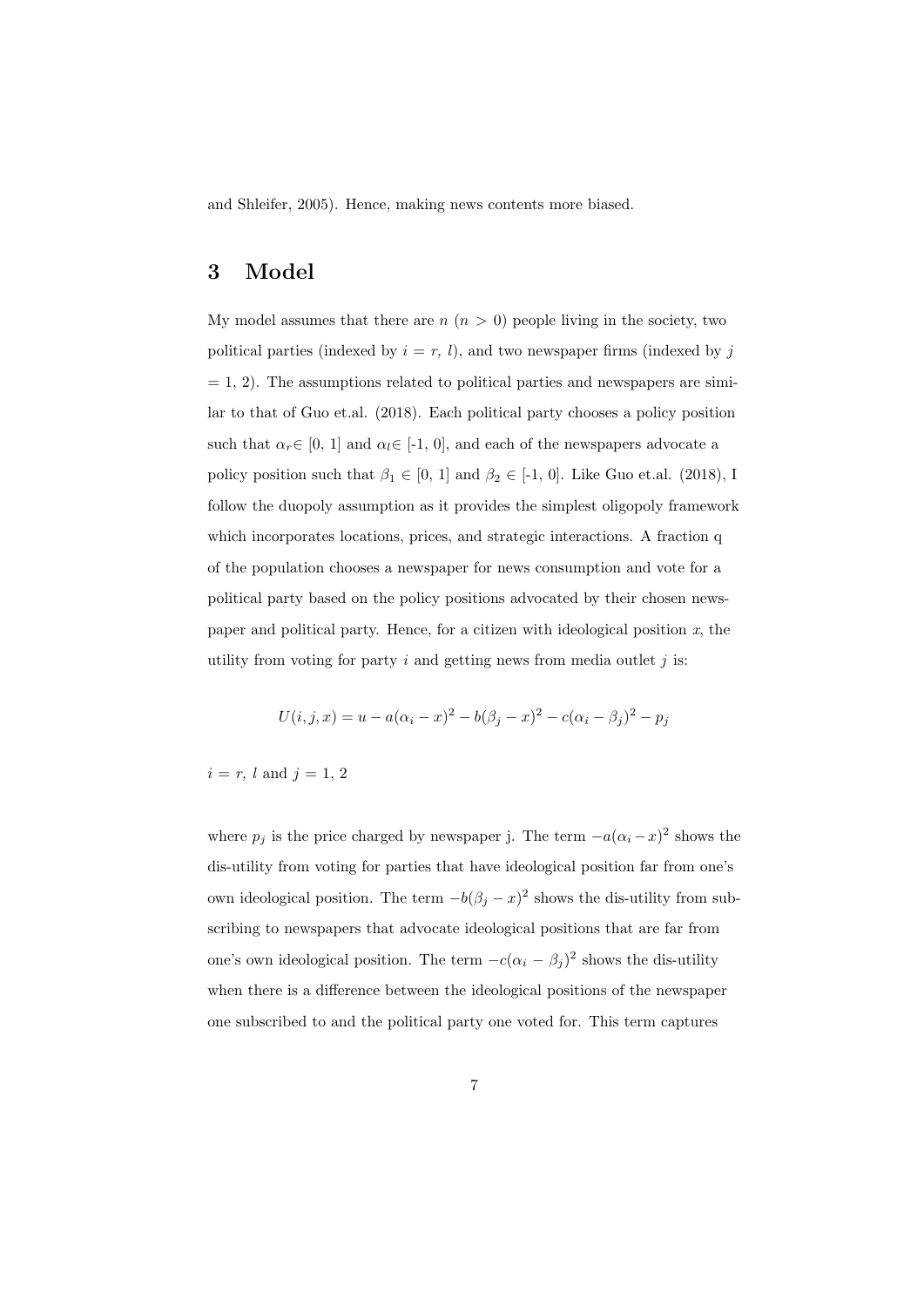and Shleifer, 2005). Hence, making news contents more biased.

# 3 Model

My model assumes that there are  $n (n > 0)$  people living in the society, two political parties (indexed by  $i = r, l$ ), and two newspaper firms (indexed by j  $= 1, 2$ ). The assumptions related to political parties and newspapers are similar to that of Guo et.al. (2018). Each political party chooses a policy position such that  $\alpha_r \in [0, 1]$  and  $\alpha_l \in [-1, 0]$ , and each of the newspapers advocate a policy position such that  $\beta_1 \in [0, 1]$  and  $\beta_2 \in [-1, 0]$ . Like Guo et.al. (2018), I follow the duopoly assumption as it provides the simplest oligopoly framework which incorporates locations, prices, and strategic interactions. A fraction q of the population chooses a newspaper for news consumption and vote for a political party based on the policy positions advocated by their chosen newspaper and political party. Hence, for a citizen with ideological position  $x$ , the utility from voting for party  $i$  and getting news from media outlet  $j$  is:

$$
U(i, j, x) = u - a(\alpha_i - x)^2 - b(\beta_j - x)^2 - c(\alpha_i - \beta_j)^2 - p_j
$$

#### $i = r$ , l and  $j = 1, 2$

where  $p_j$  is the price charged by newspaper j. The term  $-a(\alpha_i - x)^2$  shows the dis-utility from voting for parties that have ideological position far from one's own ideological position. The term  $-b(\beta_j - x)^2$  shows the dis-utility from subscribing to newspapers that advocate ideological positions that are far from one's own ideological position. The term  $-c(\alpha_i - \beta_j)^2$  shows the dis-utility when there is a difference between the ideological positions of the newspaper one subscribed to and the political party one voted for. This term captures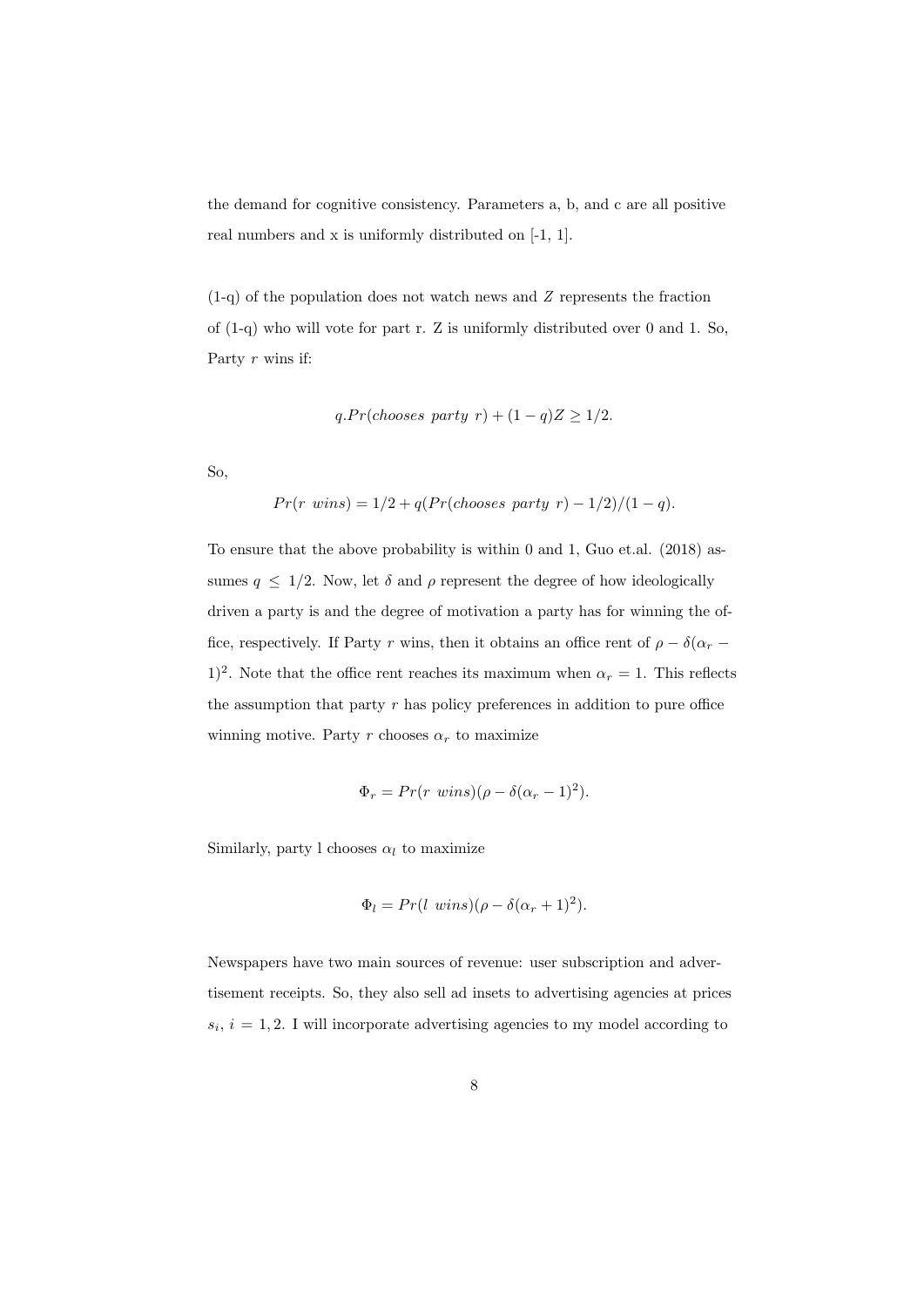the demand for cognitive consistency. Parameters a, b, and c are all positive real numbers and x is uniformly distributed on [-1, 1].

(1-q) of the population does not watch news and Z represents the fraction of (1-q) who will vote for part r. Z is uniformly distributed over 0 and 1. So, Party r wins if:

$$
q.Pr(choses party r) + (1-q)Z \ge 1/2.
$$

So,

$$
Pr(r \text{ wins}) = 1/2 + q(Pr(choses party r) - 1/2)/(1 - q).
$$

To ensure that the above probability is within 0 and 1, Guo et.al. (2018) assumes  $q \leq 1/2$ . Now, let  $\delta$  and  $\rho$  represent the degree of how ideologically driven a party is and the degree of motivation a party has for winning the office, respectively. If Party r wins, then it obtains an office rent of  $\rho - \delta(\alpha_r - \alpha_r)$ 1)<sup>2</sup>. Note that the office rent reaches its maximum when  $\alpha_r = 1$ . This reflects the assumption that party  $r$  has policy preferences in addition to pure office winning motive. Party r chooses  $\alpha_r$  to maximize

$$
\Phi_r = Pr(r \text{ wins})(\rho - \delta(\alpha_r - 1)^2).
$$

Similarly, party l chooses  $\alpha_l$  to maximize

$$
\Phi_l = Pr(l \; wins)(\rho - \delta(\alpha_r + 1)^2).
$$

Newspapers have two main sources of revenue: user subscription and advertisement receipts. So, they also sell ad insets to advertising agencies at prices  $s_i$ ,  $i = 1, 2$ . I will incorporate advertising agencies to my model according to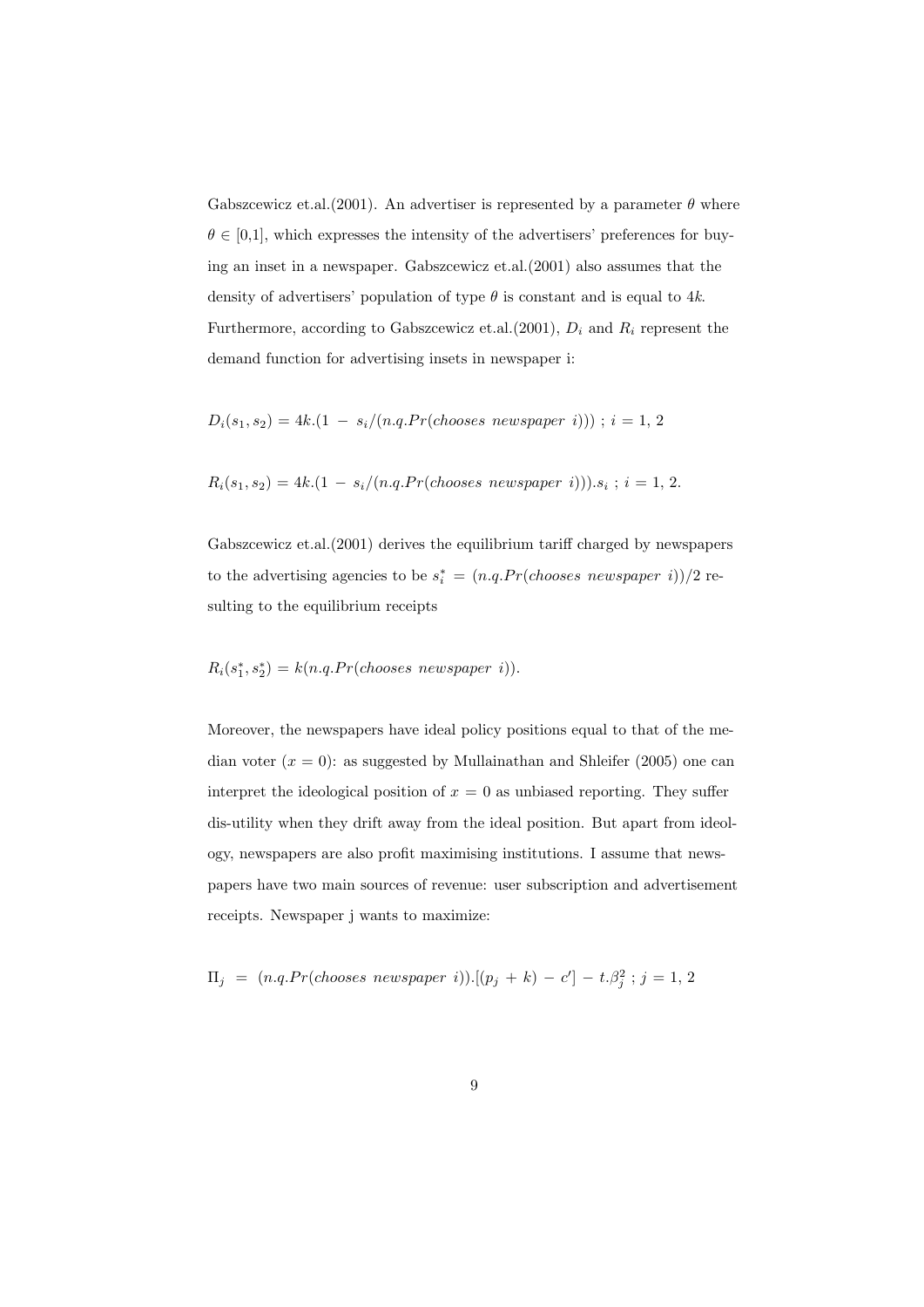Gabszcewicz et.al.(2001). An advertiser is represented by a parameter  $\theta$  where  $\theta \in [0,1]$ , which expresses the intensity of the advertisers' preferences for buying an inset in a newspaper. Gabszcewicz et.al.(2001) also assumes that the density of advertisers' population of type  $\theta$  is constant and is equal to 4k. Furthermore, according to Gabszcewicz et.al.(2001),  $D_i$  and  $R_i$  represent the demand function for advertising insets in newspaper i:

$$
D_i(s_1, s_2) = 4k.(1 - s_i/(n.q.Pr(chposes newspaper i))) ; i = 1, 2
$$

$$
R_i(s_1, s_2) = 4k.(1 - s_i/(n.q.Pr(chposes newspaper i))).
$$
 $s_i : i = 1, 2.$ 

Gabszcewicz et.al.(2001) derives the equilibrium tariff charged by newspapers to the advertising agencies to be  $s_i^* = (n.q.Pr(chposes\ newspaper\ i))/2$  resulting to the equilibrium receipts

## $R_i(s_1^*, s_2^*) = k(n.q.Pr(chposes\ newspaper\ i)).$

Moreover, the newspapers have ideal policy positions equal to that of the median voter  $(x = 0)$ : as suggested by Mullainathan and Shleifer (2005) one can interpret the ideological position of  $x = 0$  as unbiased reporting. They suffer dis-utility when they drift away from the ideal position. But apart from ideology, newspapers are also profit maximising institutions. I assume that newspapers have two main sources of revenue: user subscription and advertisement receipts. Newspaper j wants to maximize:

$$
\Pi_j = (n.q.Pr(chposes newspaper i)) \cdot [(p_j + k) - c'] - t \cdot \beta_j^2 ; j = 1, 2
$$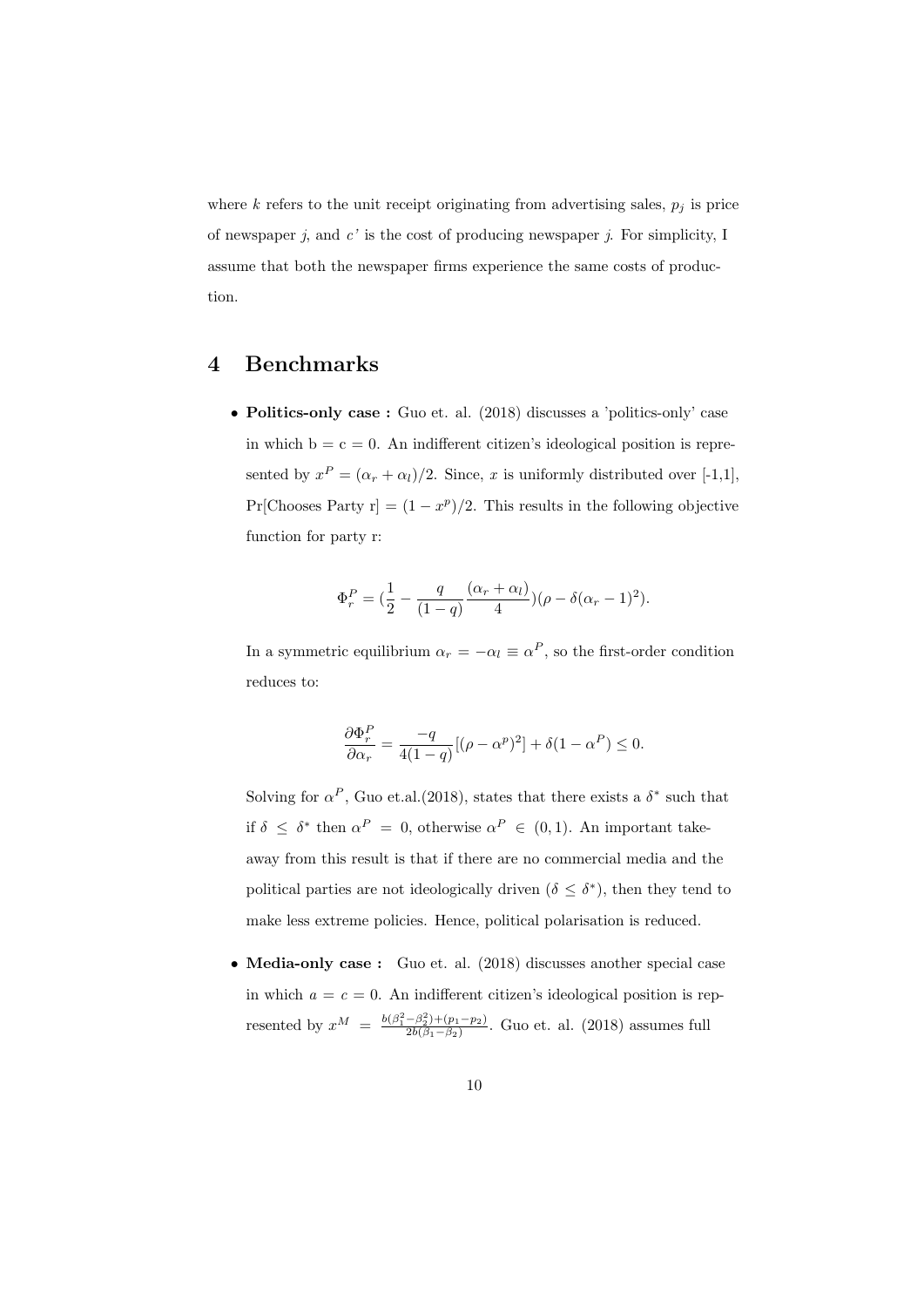where  $k$  refers to the unit receipt originating from advertising sales,  $p_j$  is price of newspaper  $j$ , and  $c'$  is the cost of producing newspaper  $j$ . For simplicity, I assume that both the newspaper firms experience the same costs of production.

## 4 Benchmarks

• Politics-only case : Guo et. al. (2018) discusses a 'politics-only' case in which  $b = c = 0$ . An indifferent citizen's ideological position is represented by  $x^P = (\alpha_r + \alpha_l)/2$ . Since, x is uniformly distributed over [-1,1], Pr[Chooses Party r] =  $(1-x^p)/2$ . This results in the following objective function for party r:

$$
\Phi_r^P = (\frac{1}{2} - \frac{q}{(1-q)} \frac{(\alpha_r + \alpha_l)}{4}) (\rho - \delta(\alpha_r - 1)^2).
$$

In a symmetric equilibrium  $\alpha_r = -\alpha_l \equiv \alpha^P$ , so the first-order condition reduces to:

$$
\frac{\partial \Phi_r^P}{\partial \alpha_r} = \frac{-q}{4(1-q)} [(\rho - \alpha^p)^2] + \delta (1 - \alpha^P) \le 0.
$$

Solving for  $\alpha^P$ , Guo et.al.(2018), states that there exists a  $\delta^*$  such that if  $\delta \leq \delta^*$  then  $\alpha^P = 0$ , otherwise  $\alpha^P \in (0,1)$ . An important takeaway from this result is that if there are no commercial media and the political parties are not ideologically driven ( $\delta \leq \delta^*$ ), then they tend to make less extreme policies. Hence, political polarisation is reduced.

• Media-only case: Guo et. al. (2018) discusses another special case in which  $a = c = 0$ . An indifferent citizen's ideological position is represented by  $x^M = \frac{b(\beta_1^2 - \beta_2^2) + (p_1 - p_2)}{2b(\beta_1 - \beta_2)}$  $\frac{-\rho_2+\rho_1-\rho_2}{2b(\beta_1-\beta_2)}$ . Guo et. al. (2018) assumes full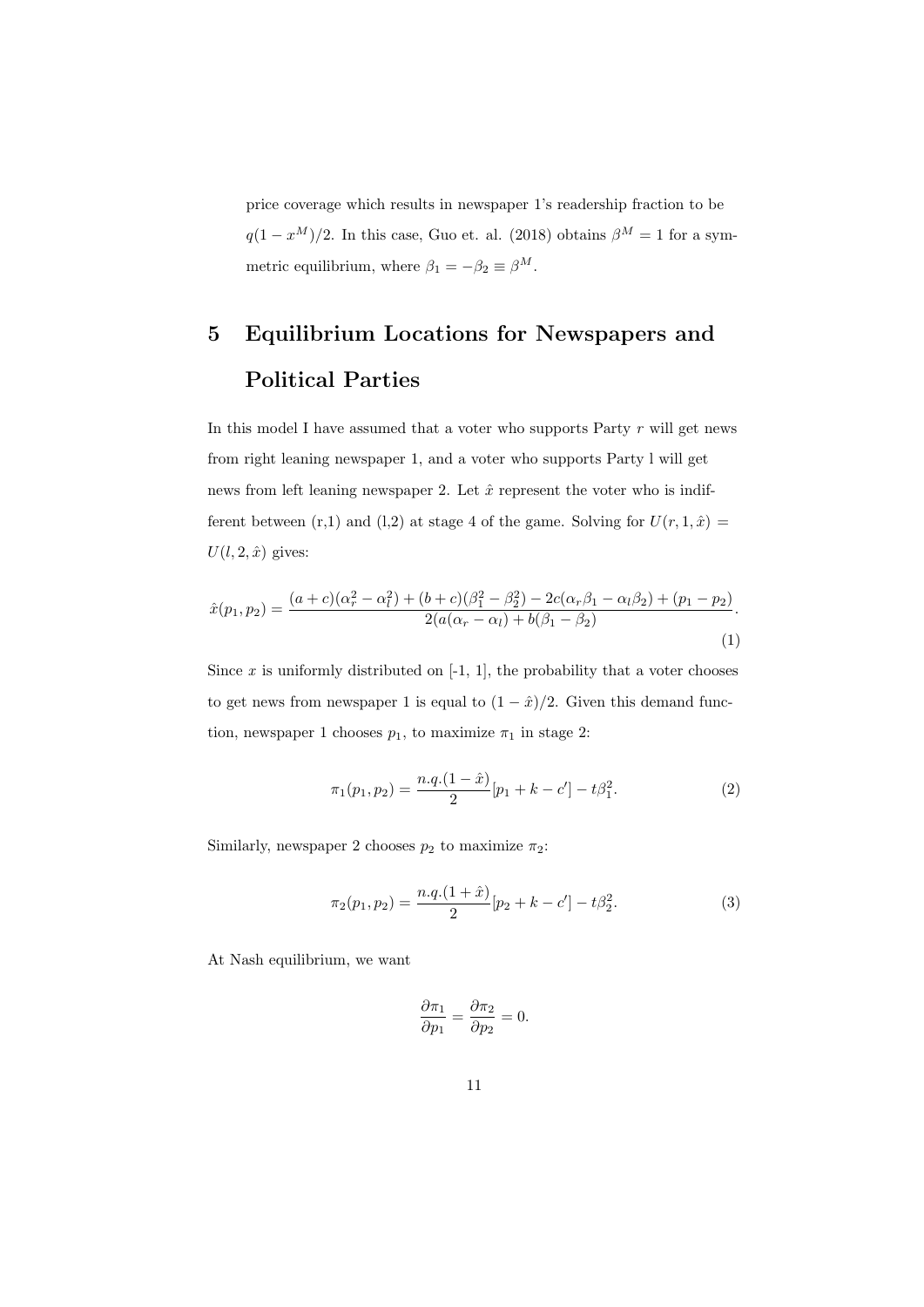price coverage which results in newspaper 1's readership fraction to be  $q(1-x^M)/2$ . In this case, Guo et. al. (2018) obtains  $\beta^M = 1$  for a symmetric equilibrium, where  $\beta_1=-\beta_2\equiv\beta^M.$ 

# 5 Equilibrium Locations for Newspapers and Political Parties

In this model I have assumed that a voter who supports Party  $r$  will get news from right leaning newspaper 1, and a voter who supports Party l will get news from left leaning newspaper 2. Let  $\hat{x}$  represent the voter who is indifferent between (r,1) and (l,2) at stage 4 of the game. Solving for  $U(r, 1, \hat{x}) =$  $U(l, 2, \hat{x})$  gives:

$$
\hat{x}(p_1, p_2) = \frac{(a+c)(\alpha_r^2 - \alpha_l^2) + (b+c)(\beta_1^2 - \beta_2^2) - 2c(\alpha_r\beta_1 - \alpha_l\beta_2) + (p_1 - p_2)}{2(a(\alpha_r - \alpha_l) + b(\beta_1 - \beta_2)}.
$$
\n(1)

Since  $x$  is uniformly distributed on  $[-1, 1]$ , the probability that a voter chooses to get news from newspaper 1 is equal to  $(1 - \hat{x})/2$ . Given this demand function, newspaper 1 chooses  $p_1$ , to maximize  $\pi_1$  in stage 2:

$$
\pi_1(p_1, p_2) = \frac{n \cdot q \cdot (1 - \hat{x})}{2} [p_1 + k - c'] - t \beta_1^2.
$$
 (2)

Similarly, newspaper 2 chooses  $p_2$  to maximize  $\pi_2$ :

$$
\pi_2(p_1, p_2) = \frac{n \cdot q \cdot (1 + \hat{x})}{2} [p_2 + k - c'] - t \beta_2^2.
$$
 (3)

At Nash equilibrium, we want

$$
\frac{\partial \pi_1}{\partial p_1} = \frac{\partial \pi_2}{\partial p_2} = 0.
$$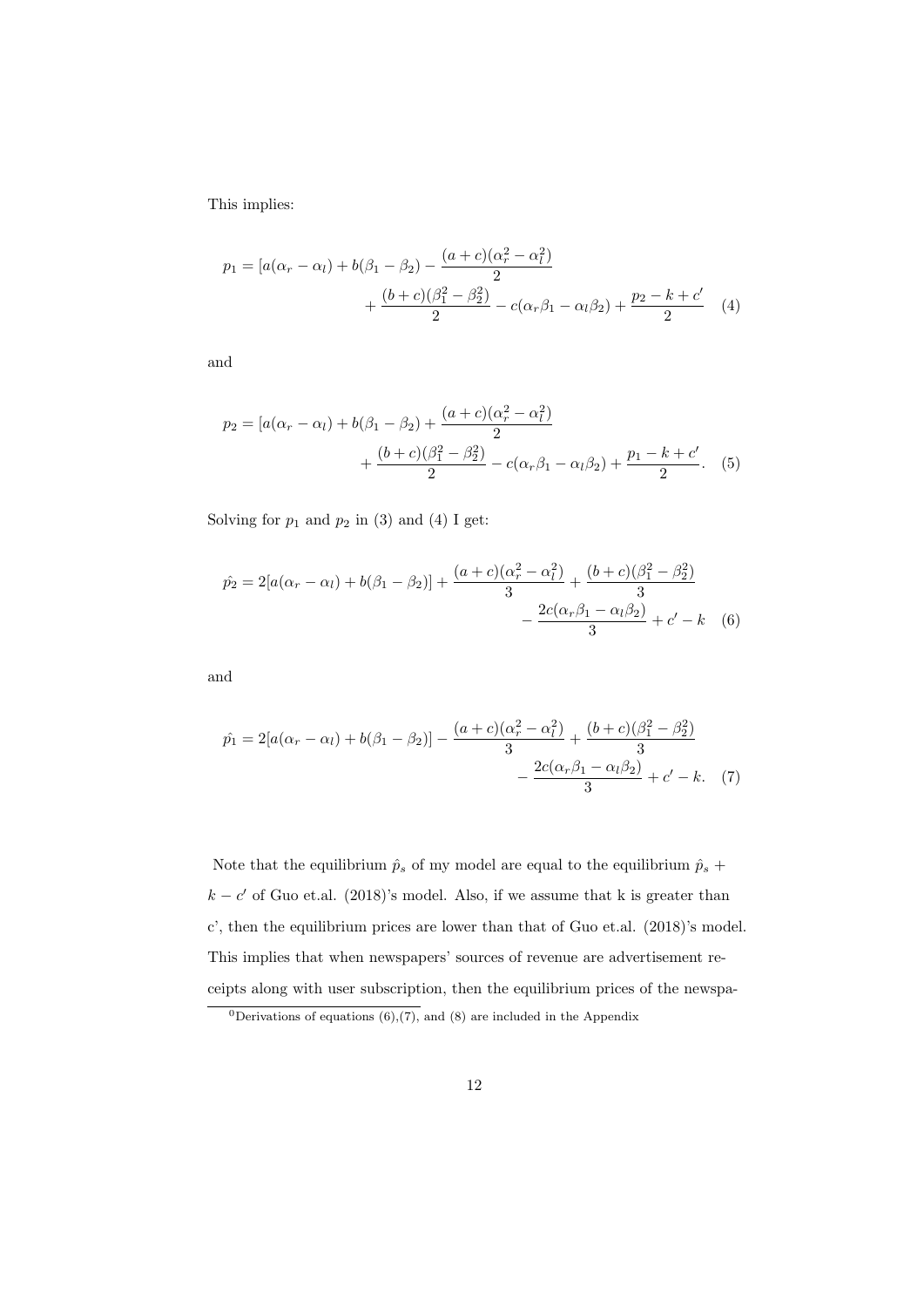This implies:

$$
p_1 = [a(\alpha_r - \alpha_l) + b(\beta_1 - \beta_2) - \frac{(a+c)(\alpha_r^2 - \alpha_l^2)}{2} + \frac{(b+c)(\beta_1^2 - \beta_2^2)}{2} - c(\alpha_r\beta_1 - \alpha_l\beta_2) + \frac{p_2 - k + c'}{2}
$$
(4)

and

$$
p_2 = [a(\alpha_r - \alpha_l) + b(\beta_1 - \beta_2) + \frac{(a+c)(\alpha_r^2 - \alpha_l^2)}{2} + \frac{(b+c)(\beta_1^2 - \beta_2^2)}{2} - c(\alpha_r\beta_1 - \alpha_l\beta_2) + \frac{p_1 - k + c'}{2}.
$$
 (5)

Solving for  $p_1$  and  $p_2$  in (3) and (4) I get:

$$
\hat{p}_2 = 2[a(\alpha_r - \alpha_l) + b(\beta_1 - \beta_2)] + \frac{(a+c)(\alpha_r^2 - \alpha_l^2)}{3} + \frac{(b+c)(\beta_1^2 - \beta_2^2)}{3} - \frac{2c(\alpha_r\beta_1 - \alpha_l\beta_2)}{3} + c' - k \quad (6)
$$

and

$$
\hat{p}_1 = 2[a(\alpha_r - \alpha_l) + b(\beta_1 - \beta_2)] - \frac{(a+c)(\alpha_r^2 - \alpha_l^2)}{3} + \frac{(b+c)(\beta_1^2 - \beta_2^2)}{3} - \frac{2c(\alpha_r\beta_1 - \alpha_l\beta_2)}{3} + c' - k. \tag{7}
$$

Note that the equilibrium  $\hat{p}_s$  of my model are equal to the equilibrium  $\hat{p}_s$  +  $k - c'$  of Guo et.al. (2018)'s model. Also, if we assume that k is greater than c', then the equilibrium prices are lower than that of Guo et.al. (2018)'s model. This implies that when newspapers' sources of revenue are advertisement receipts along with user subscription, then the equilibrium prices of the newspa-

<sup>&</sup>lt;sup>0</sup>Derivations of equations  $(6)$ , $(7)$ , and  $(8)$  are included in the Appendix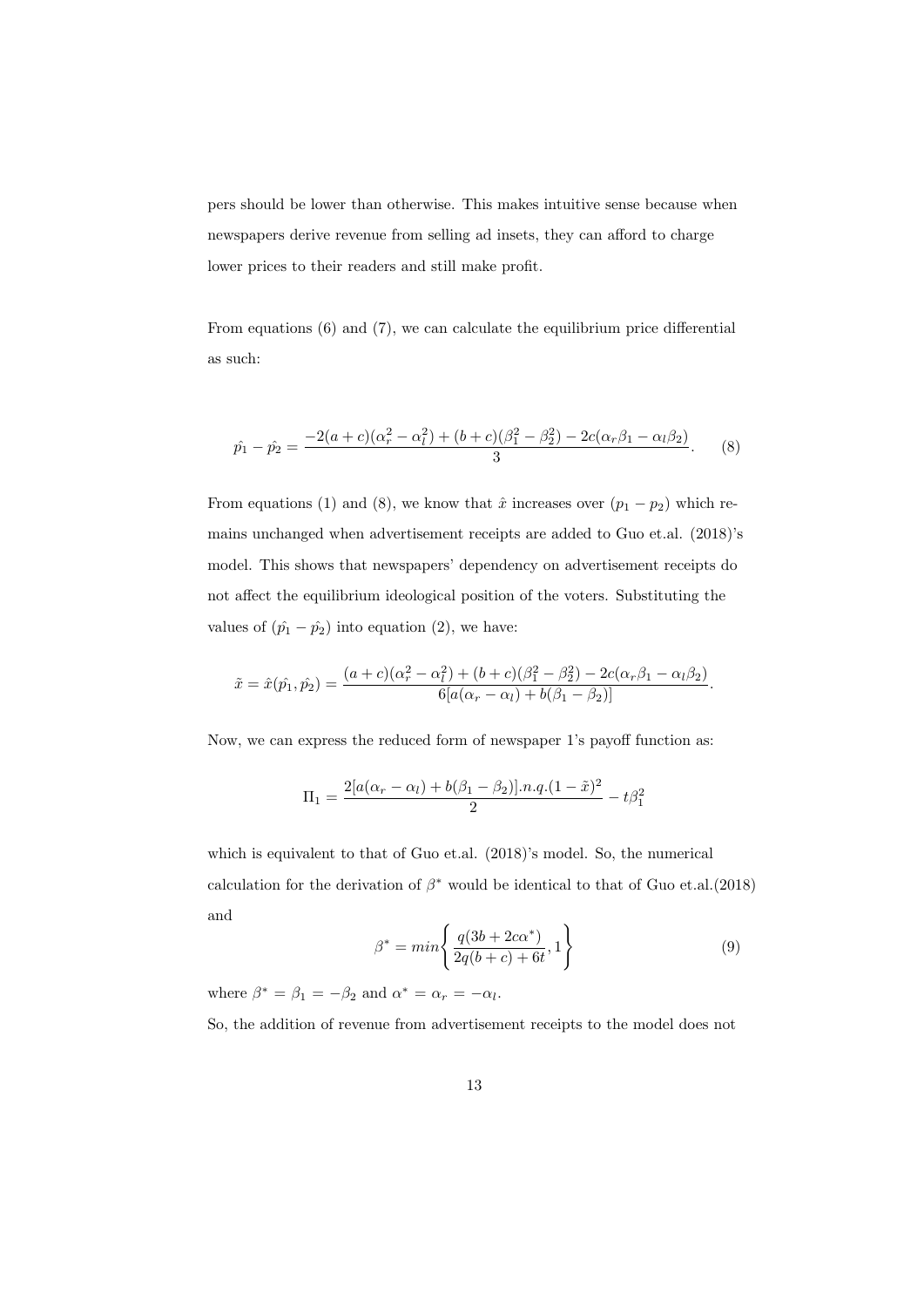pers should be lower than otherwise. This makes intuitive sense because when newspapers derive revenue from selling ad insets, they can afford to charge lower prices to their readers and still make profit.

From equations (6) and (7), we can calculate the equilibrium price differential as such:

$$
\hat{p_1} - \hat{p_2} = \frac{-2(a+c)(\alpha_r^2 - \alpha_l^2) + (b+c)(\beta_1^2 - \beta_2^2) - 2c(\alpha_r\beta_1 - \alpha_l\beta_2)}{3}.
$$
 (8)

From equations (1) and (8), we know that  $\hat{x}$  increases over  $(p_1 - p_2)$  which remains unchanged when advertisement receipts are added to Guo et.al. (2018)'s model. This shows that newspapers' dependency on advertisement receipts do not affect the equilibrium ideological position of the voters. Substituting the values of  $(\hat{p}_1 - \hat{p}_2)$  into equation (2), we have:

$$
\tilde{x} = \hat{x}(\hat{p}_1, \hat{p}_2) = \frac{(a+c)(\alpha_r^2 - \alpha_l^2) + (b+c)(\beta_1^2 - \beta_2^2) - 2c(\alpha_r\beta_1 - \alpha_l\beta_2)}{6[a(\alpha_r - \alpha_l) + b(\beta_1 - \beta_2)]}.
$$

Now, we can express the reduced form of newspaper 1's payoff function as:

$$
\Pi_1 = \frac{2[a(\alpha_r - \alpha_l) + b(\beta_1 - \beta_2)] \cdot n \cdot q \cdot (1 - \tilde{x})^2}{2} - t\beta_1^2
$$

which is equivalent to that of Guo et.al. (2018)'s model. So, the numerical calculation for the derivation of  $\beta^*$  would be identical to that of Guo et.al.(2018) and

$$
\beta^* = \min\left\{\frac{q(3b + 2c\alpha^*)}{2q(b + c) + 6t}, 1\right\}
$$
\n(9)

where  $\beta^* = \beta_1 = -\beta_2$  and  $\alpha^* = \alpha_r = -\alpha_l$ .

So, the addition of revenue from advertisement receipts to the model does not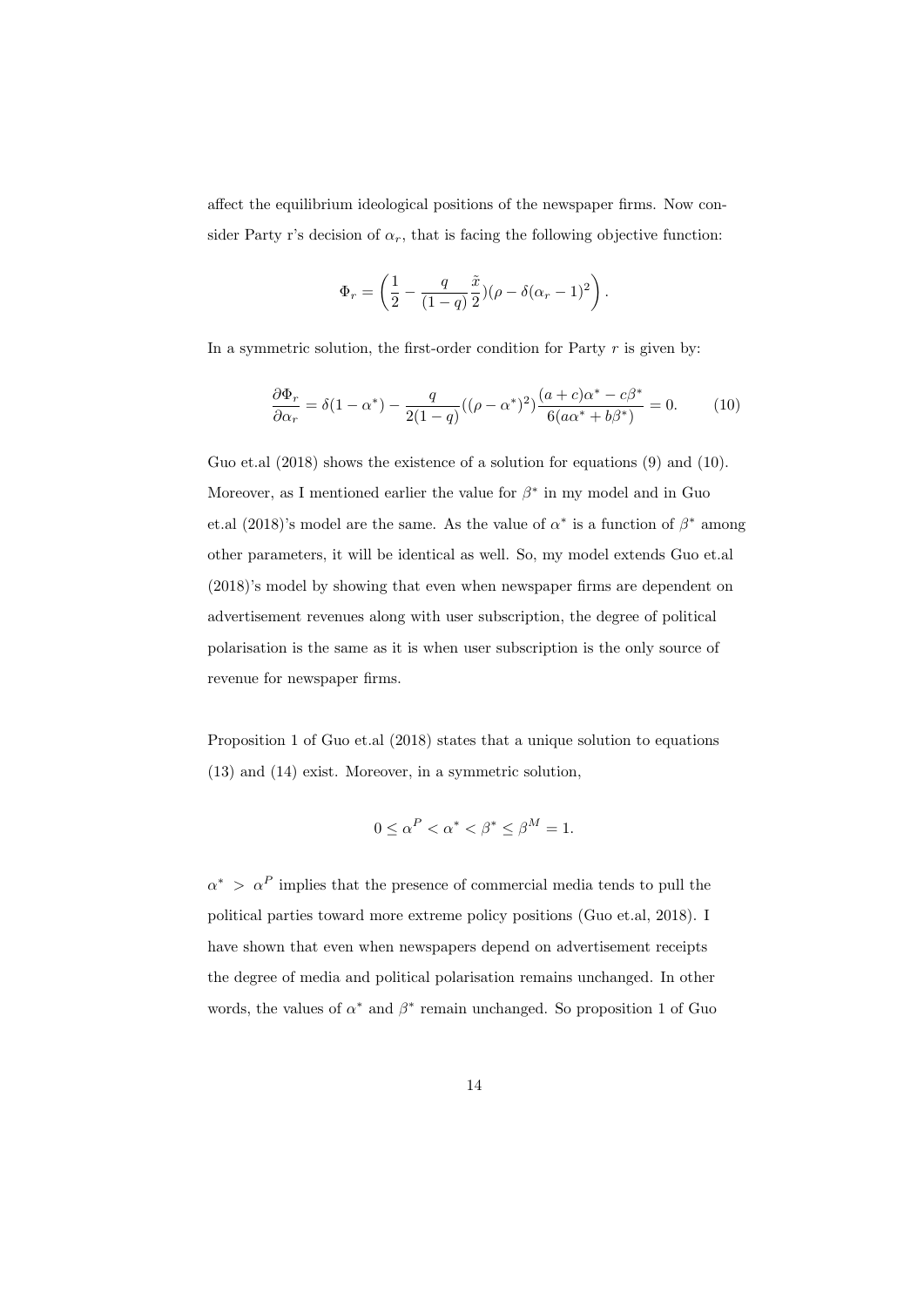affect the equilibrium ideological positions of the newspaper firms. Now consider Party r's decision of  $\alpha_r$ , that is facing the following objective function:

$$
\Phi_r = \left(\frac{1}{2} - \frac{q}{(1-q)}\frac{\tilde{x}}{2})(\rho - \delta(\alpha_r - 1)^2\right).
$$

In a symmetric solution, the first-order condition for Party  $r$  is given by:

$$
\frac{\partial \Phi_r}{\partial \alpha_r} = \delta(1 - \alpha^*) - \frac{q}{2(1 - q)}((\rho - \alpha^*)^2) \frac{(a + c)\alpha^* - c\beta^*}{6(a\alpha^* + b\beta^*)} = 0.
$$
 (10)

Guo et.al  $(2018)$  shows the existence of a solution for equations  $(9)$  and  $(10)$ . Moreover, as I mentioned earlier the value for  $\beta^*$  in my model and in Guo et.al (2018)'s model are the same. As the value of  $\alpha^*$  is a function of  $\beta^*$  among other parameters, it will be identical as well. So, my model extends Guo et.al (2018)'s model by showing that even when newspaper firms are dependent on advertisement revenues along with user subscription, the degree of political polarisation is the same as it is when user subscription is the only source of revenue for newspaper firms.

Proposition 1 of Guo et.al (2018) states that a unique solution to equations (13) and (14) exist. Moreover, in a symmetric solution,

$$
0 \le \alpha^P < \alpha^* < \beta^* \le \beta^M = 1.
$$

 $\alpha^*$  >  $\alpha^P$  implies that the presence of commercial media tends to pull the political parties toward more extreme policy positions (Guo et.al, 2018). I have shown that even when newspapers depend on advertisement receipts the degree of media and political polarisation remains unchanged. In other words, the values of  $\alpha^*$  and  $\beta^*$  remain unchanged. So proposition 1 of Guo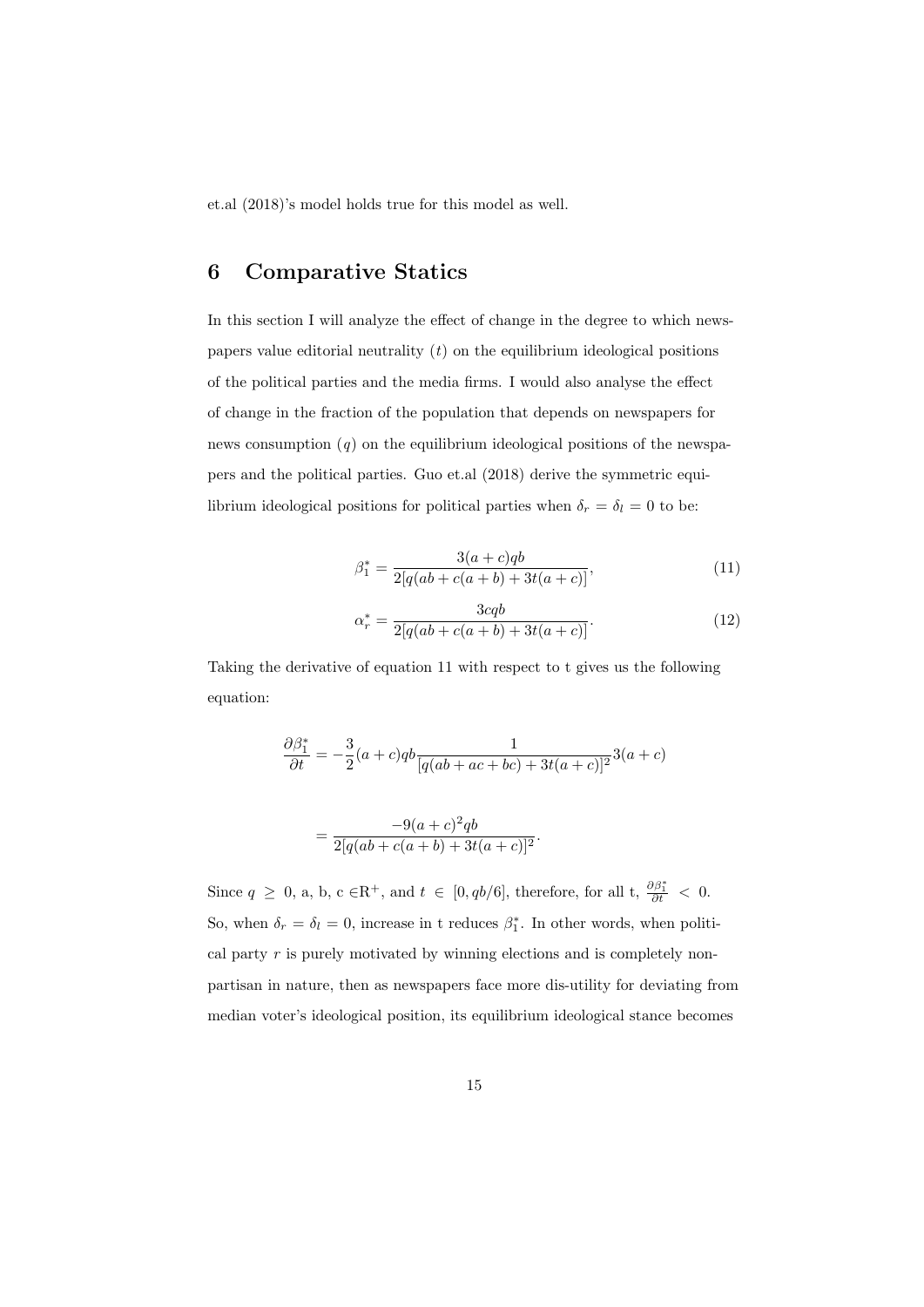et.al (2018)'s model holds true for this model as well.

# 6 Comparative Statics

In this section I will analyze the effect of change in the degree to which newspapers value editorial neutrality  $(t)$  on the equilibrium ideological positions of the political parties and the media firms. I would also analyse the effect of change in the fraction of the population that depends on newspapers for news consumption  $(q)$  on the equilibrium ideological positions of the newspapers and the political parties. Guo et.al (2018) derive the symmetric equilibrium ideological positions for political parties when  $\delta_r = \delta_l = 0$  to be:

$$
\beta_1^* = \frac{3(a+c)qb}{2[q(ab+c(a+b)+3t(a+c)]},\tag{11}
$$

$$
\alpha_r^* = \frac{3cqb}{2[q(ab + c(a + b) + 3t(a + c)]}.\tag{12}
$$

Taking the derivative of equation 11 with respect to t gives us the following equation:

$$
\frac{\partial \beta_1^*}{\partial t} = -\frac{3}{2}(a+c)qb \frac{1}{[q(ab+ac+bc)+3t(a+c)]^2}3(a+c)
$$

$$
= \frac{-9(a+c)^2qb}{2[q(ab+c(a+b)+3t(a+c)]^2}.
$$

Since  $q \ge 0$ , a, b, c  $\in \mathbb{R}^+$ , and  $t \in [0, qb/6]$ , therefore, for all t,  $\frac{\partial \beta_1^*}{\partial t} < 0$ . So, when  $\delta_r = \delta_l = 0$ , increase in t reduces  $\beta_1^*$ . In other words, when political party  $r$  is purely motivated by winning elections and is completely nonpartisan in nature, then as newspapers face more dis-utility for deviating from median voter's ideological position, its equilibrium ideological stance becomes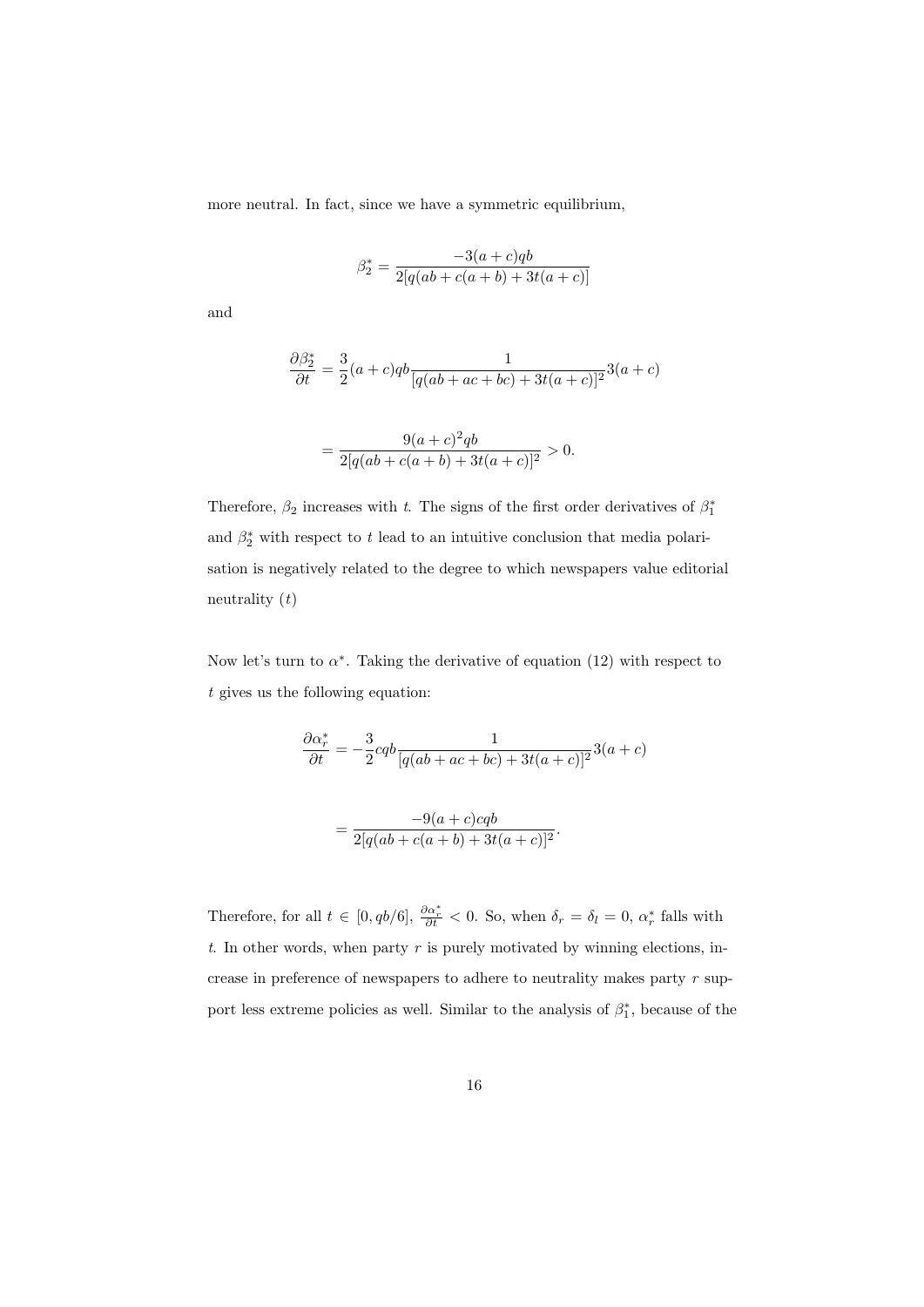more neutral. In fact, since we have a symmetric equilibrium,

$$
\beta_2^* = \frac{-3(a+c)qb}{2[q(ab+c(a+b)+3t(a+c)]}
$$

and

$$
\frac{\partial \beta_2^*}{\partial t} = \frac{3}{2}(a+c)qb \frac{1}{[q(ab+ac+bc)+3t(a+c)]^2}3(a+c)
$$

$$
= \frac{9(a+c)^2qb}{2[q(ab+c(a+b)+3t(a+c)]^2} > 0.
$$

Therefore,  $\beta_2$  increases with t. The signs of the first order derivatives of  $\beta_1^*$ and  $\beta_2^*$  with respect to t lead to an intuitive conclusion that media polarisation is negatively related to the degree to which newspapers value editorial neutrality  $(t)$ 

Now let's turn to  $\alpha^*$ . Taking the derivative of equation (12) with respect to t gives us the following equation:

$$
\frac{\partial \alpha_r^*}{\partial t} = -\frac{3}{2}cqb \frac{1}{[q(ab+ac+bc)+3t(a+c)]^2}3(a+c)
$$

$$
= \frac{-9(a+c)cqb}{2[q(ab+c(a+b)+3t(a+c)]^2}.
$$

Therefore, for all 
$$
t \in [0, qb/6]
$$
,  $\frac{\partial \alpha_r^*}{\partial t} < 0$ . So, when  $\delta_r = \delta_l = 0$ ,  $\alpha_r^*$  falls with   
t. In other words, when party r is purely motivated by winning elections, in-  
crease in preference of newspapers to adhere to neutrality makes party r sup-  
port less extreme policies as well. Similar to the analysis of  $\beta_1^*$ , because of the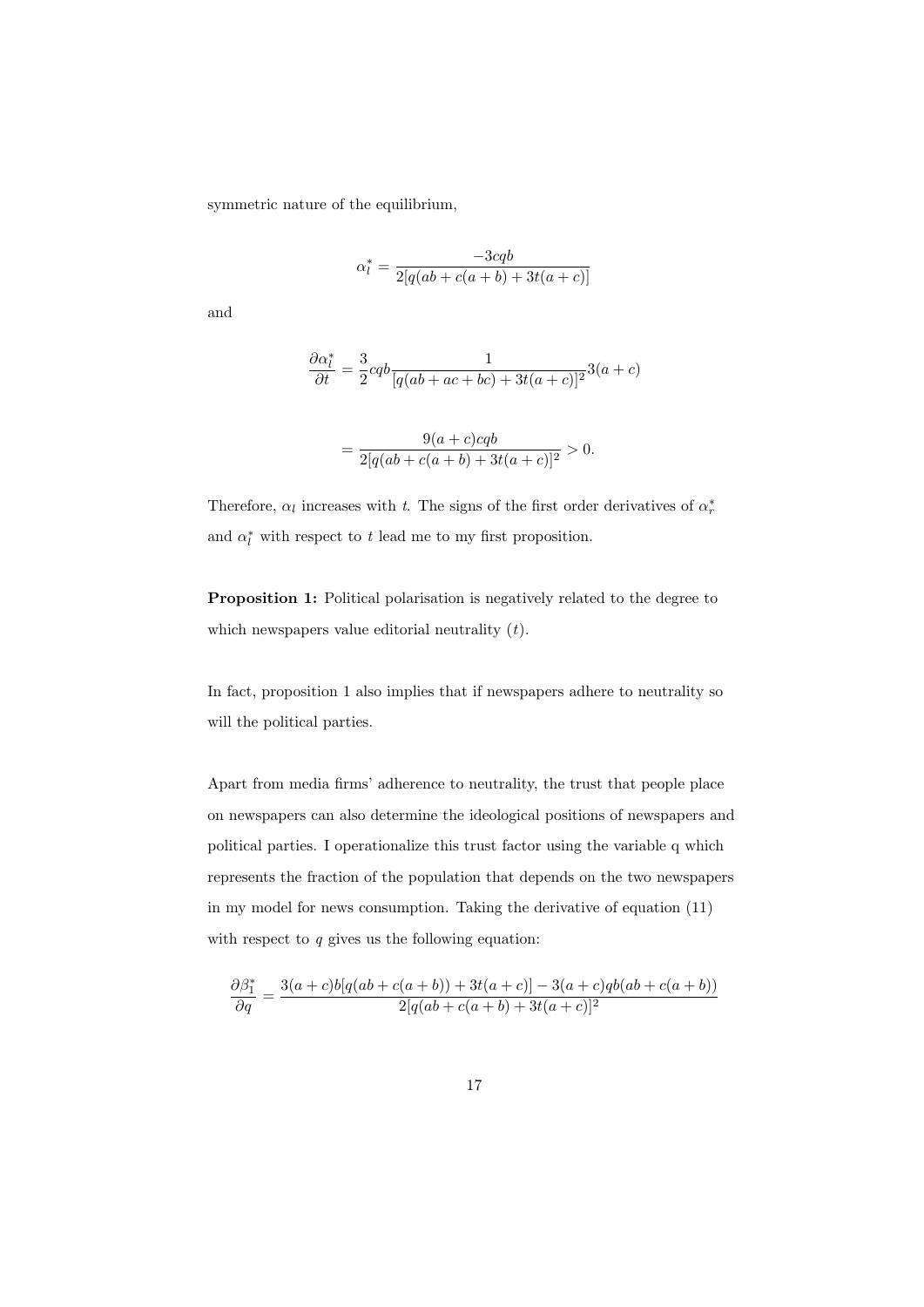symmetric nature of the equilibrium,

$$
\alpha_l^* = \frac{-3cq}{2[q(ab + c(a + b) + 3t(a + c)]}
$$

and

$$
\frac{\partial \alpha_l^*}{\partial t} = \frac{3}{2}cqb \frac{1}{[q(ab+ac+bc)+3t(a+c)]^2}3(a+c)
$$

$$
= \frac{9(a+c)cqb}{2[q(ab+c(a+b)+3t(a+c)]^2} > 0.
$$

Therefore,  $\alpha_l$  increases with t. The signs of the first order derivatives of  $\alpha_r^*$ and  $\alpha_l^*$  with respect to t lead me to my first proposition.

Proposition 1: Political polarisation is negatively related to the degree to which newspapers value editorial neutrality  $(t)$ .

In fact, proposition 1 also implies that if newspapers adhere to neutrality so will the political parties.

Apart from media firms' adherence to neutrality, the trust that people place on newspapers can also determine the ideological positions of newspapers and political parties. I operationalize this trust factor using the variable q which represents the fraction of the population that depends on the two newspapers in my model for news consumption. Taking the derivative of equation (11) with respect to  $q$  gives us the following equation:

$$
\frac{\partial \beta_1^*}{\partial q} = \frac{3(a+c)b[q(ab+c(a+b))+3t(a+c)]-3(a+c)qb(ab+c(a+b))}{2[q(ab+c(a+b)+3t(a+c)]^2}
$$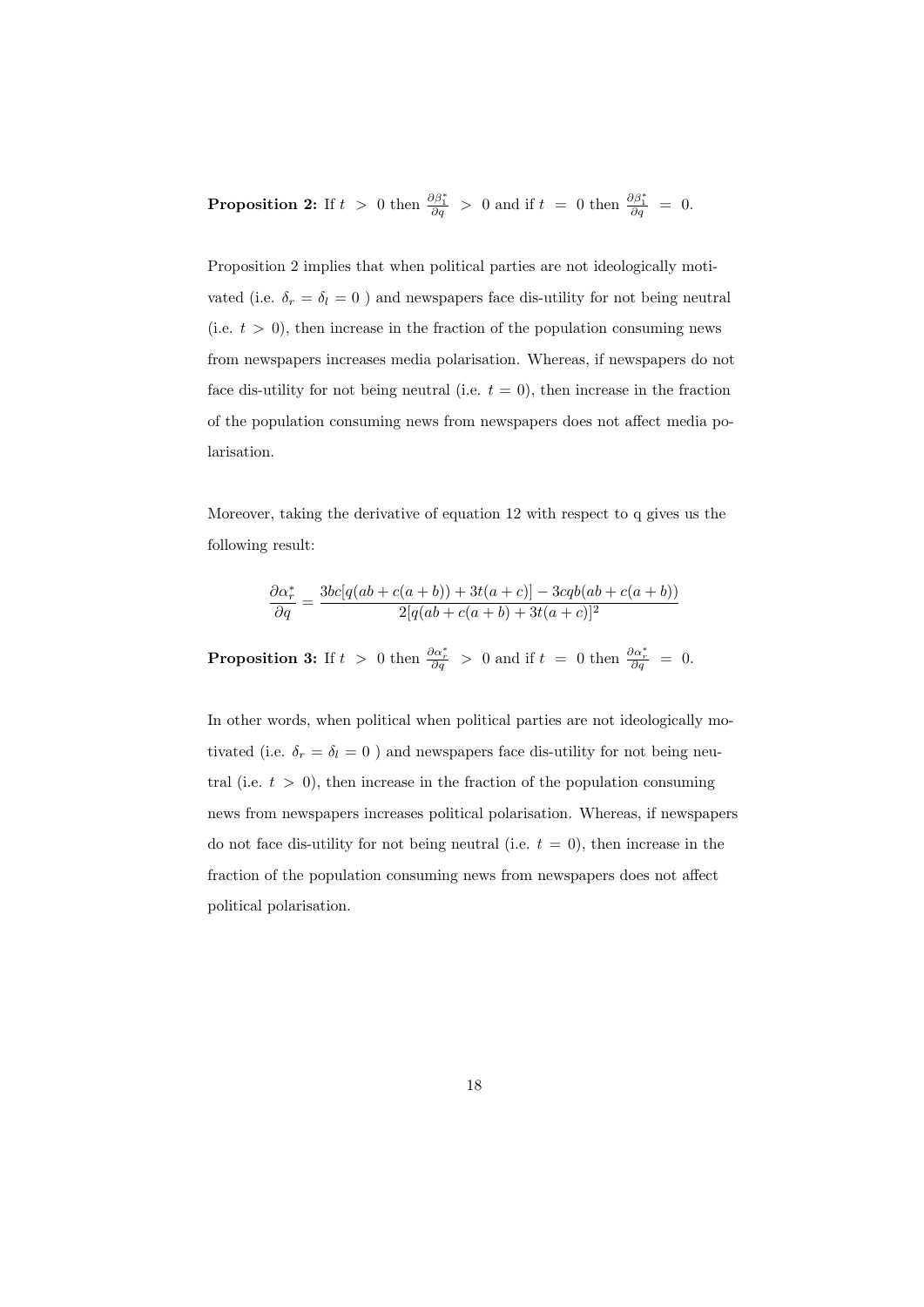**Proposition 2:** If  $t > 0$  then  $\frac{\partial \beta_1^*}{\partial q} > 0$  and if  $t = 0$  then  $\frac{\partial \beta_1^*}{\partial q} = 0$ .

Proposition 2 implies that when political parties are not ideologically motivated (i.e.  $\delta_r$  =  $\delta_l$  = 0 ) and newspapers face dis-utility for not being neutral (i.e.  $t > 0$ ), then increase in the fraction of the population consuming news from newspapers increases media polarisation. Whereas, if newspapers do not face dis-utility for not being neutral (i.e.  $t = 0$ ), then increase in the fraction of the population consuming news from newspapers does not affect media polarisation.

Moreover, taking the derivative of equation 12 with respect to q gives us the following result:

$$
\frac{\partial \alpha_r^*}{\partial q} = \frac{3bc[q(ab + c(a + b)) + 3t(a + c)] - 3cqb(ab + c(a + b))}{2[q(ab + c(a + b) + 3t(a + c)]^2}
$$

**Proposition 3:** If  $t > 0$  then  $\frac{\partial \alpha_r^*}{\partial q} > 0$  and if  $t = 0$  then  $\frac{\partial \alpha_r^*}{\partial q} = 0$ .

In other words, when political when political parties are not ideologically motivated (i.e.  $\delta_r = \delta_l = 0$  ) and newspapers face dis-utility for not being neutral (i.e.  $t > 0$ ), then increase in the fraction of the population consuming news from newspapers increases political polarisation. Whereas, if newspapers do not face dis-utility for not being neutral (i.e.  $t = 0$ ), then increase in the fraction of the population consuming news from newspapers does not affect political polarisation.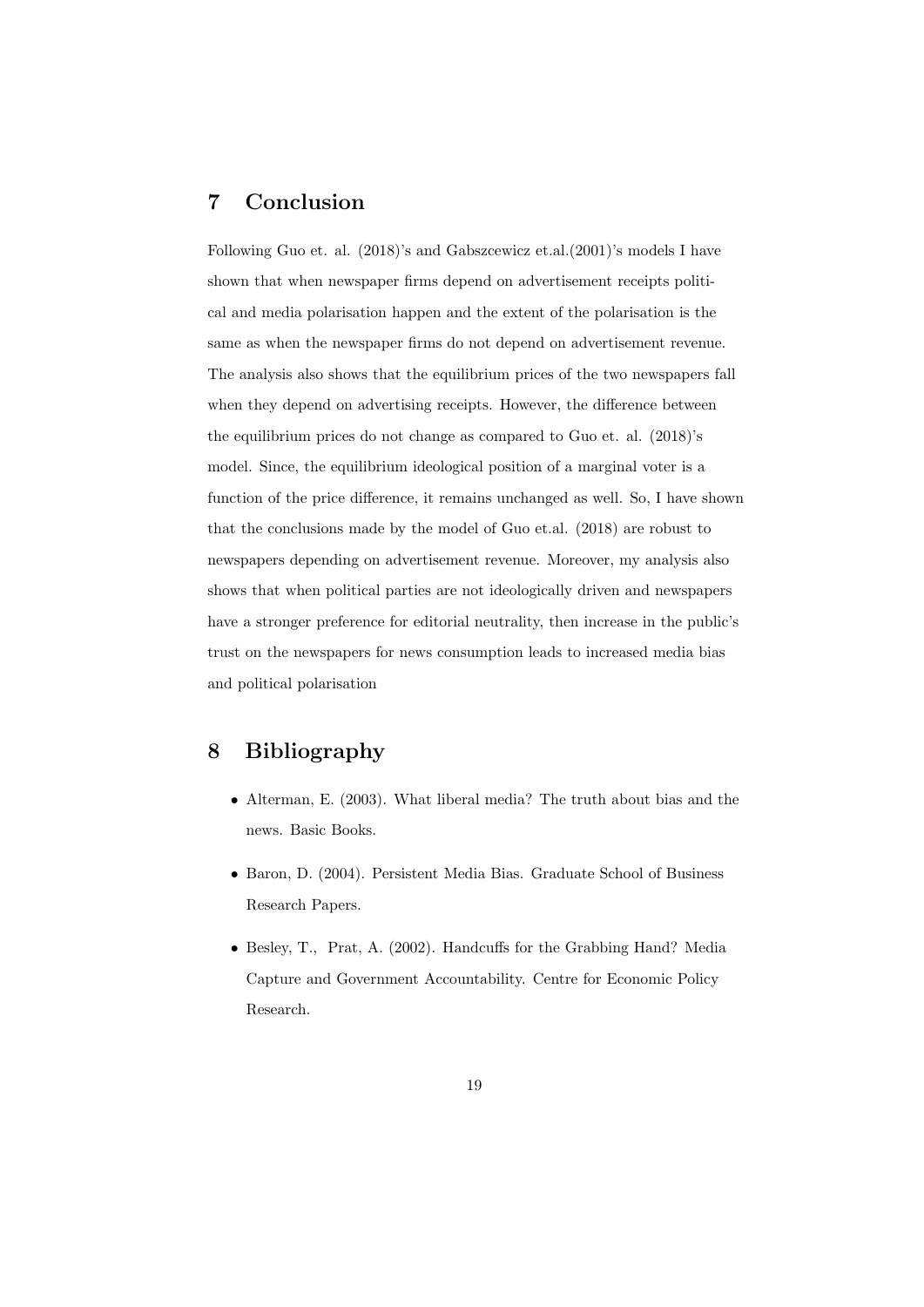# 7 Conclusion

Following Guo et. al. (2018)'s and Gabszcewicz et.al.(2001)'s models I have shown that when newspaper firms depend on advertisement receipts political and media polarisation happen and the extent of the polarisation is the same as when the newspaper firms do not depend on advertisement revenue. The analysis also shows that the equilibrium prices of the two newspapers fall when they depend on advertising receipts. However, the difference between the equilibrium prices do not change as compared to Guo et. al. (2018)'s model. Since, the equilibrium ideological position of a marginal voter is a function of the price difference, it remains unchanged as well. So, I have shown that the conclusions made by the model of Guo et.al. (2018) are robust to newspapers depending on advertisement revenue. Moreover, my analysis also shows that when political parties are not ideologically driven and newspapers have a stronger preference for editorial neutrality, then increase in the public's trust on the newspapers for news consumption leads to increased media bias and political polarisation

# 8 Bibliography

- Alterman, E. (2003). What liberal media? The truth about bias and the news. Basic Books.
- Baron, D. (2004). Persistent Media Bias. Graduate School of Business Research Papers.
- Besley, T., Prat, A. (2002). Handcuffs for the Grabbing Hand? Media Capture and Government Accountability. Centre for Economic Policy Research.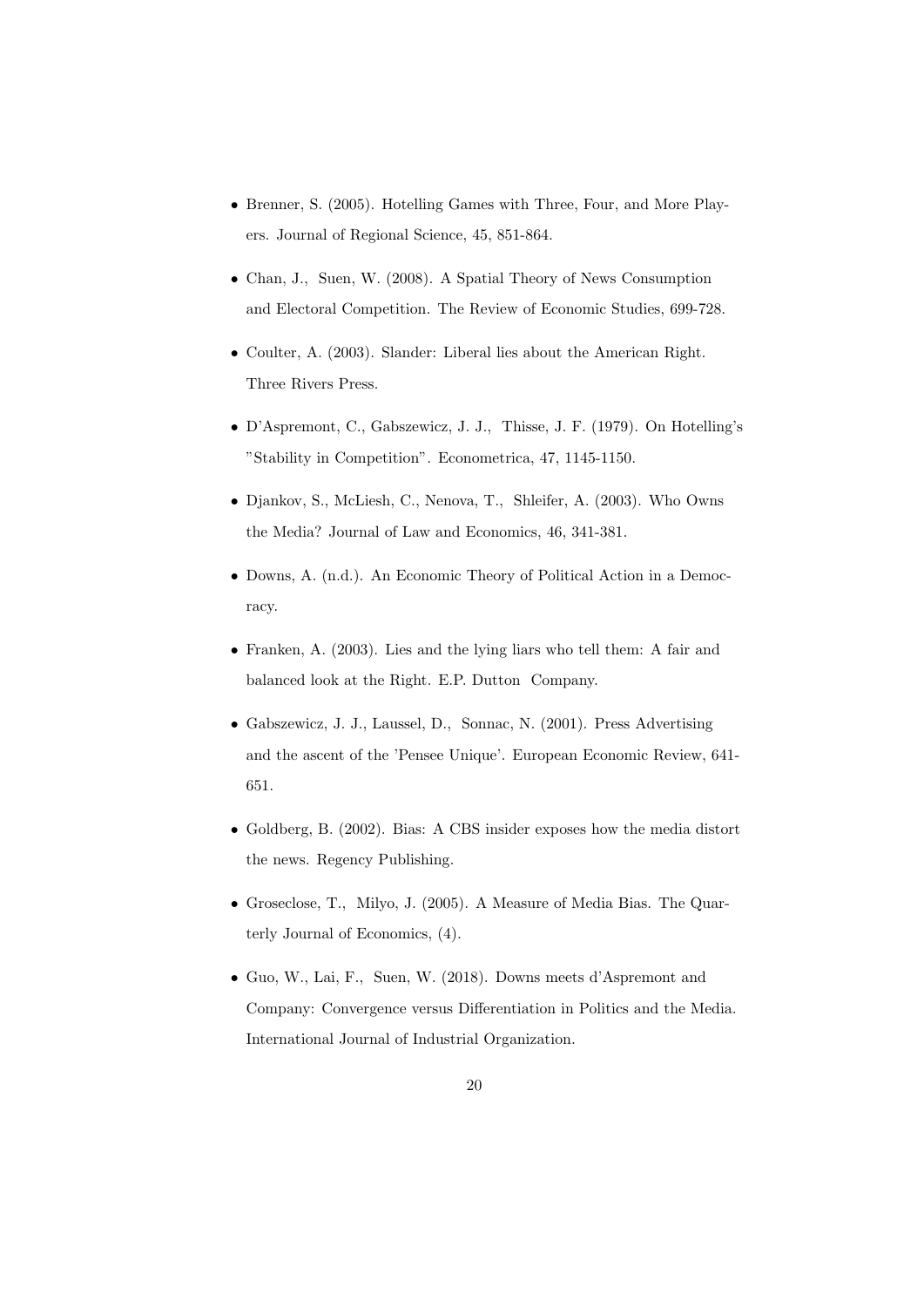- Brenner, S. (2005). Hotelling Games with Three, Four, and More Players. Journal of Regional Science, 45, 851-864.
- Chan, J., Suen, W. (2008). A Spatial Theory of News Consumption and Electoral Competition. The Review of Economic Studies, 699-728.
- Coulter, A. (2003). Slander: Liberal lies about the American Right. Three Rivers Press.
- D'Aspremont, C., Gabszewicz, J. J., Thisse, J. F. (1979). On Hotelling's "Stability in Competition". Econometrica, 47, 1145-1150.
- Djankov, S., McLiesh, C., Nenova, T., Shleifer, A. (2003). Who Owns the Media? Journal of Law and Economics, 46, 341-381.
- Downs, A. (n.d.). An Economic Theory of Political Action in a Democracy.
- Franken, A. (2003). Lies and the lying liars who tell them: A fair and balanced look at the Right. E.P. Dutton Company.
- Gabszewicz, J. J., Laussel, D., Sonnac, N. (2001). Press Advertising and the ascent of the 'Pensee Unique'. European Economic Review, 641- 651.
- Goldberg, B. (2002). Bias: A CBS insider exposes how the media distort the news. Regency Publishing.
- Groseclose, T., Milyo, J. (2005). A Measure of Media Bias. The Quarterly Journal of Economics, (4).
- Guo, W., Lai, F., Suen, W. (2018). Downs meets d'Aspremont and Company: Convergence versus Differentiation in Politics and the Media. International Journal of Industrial Organization.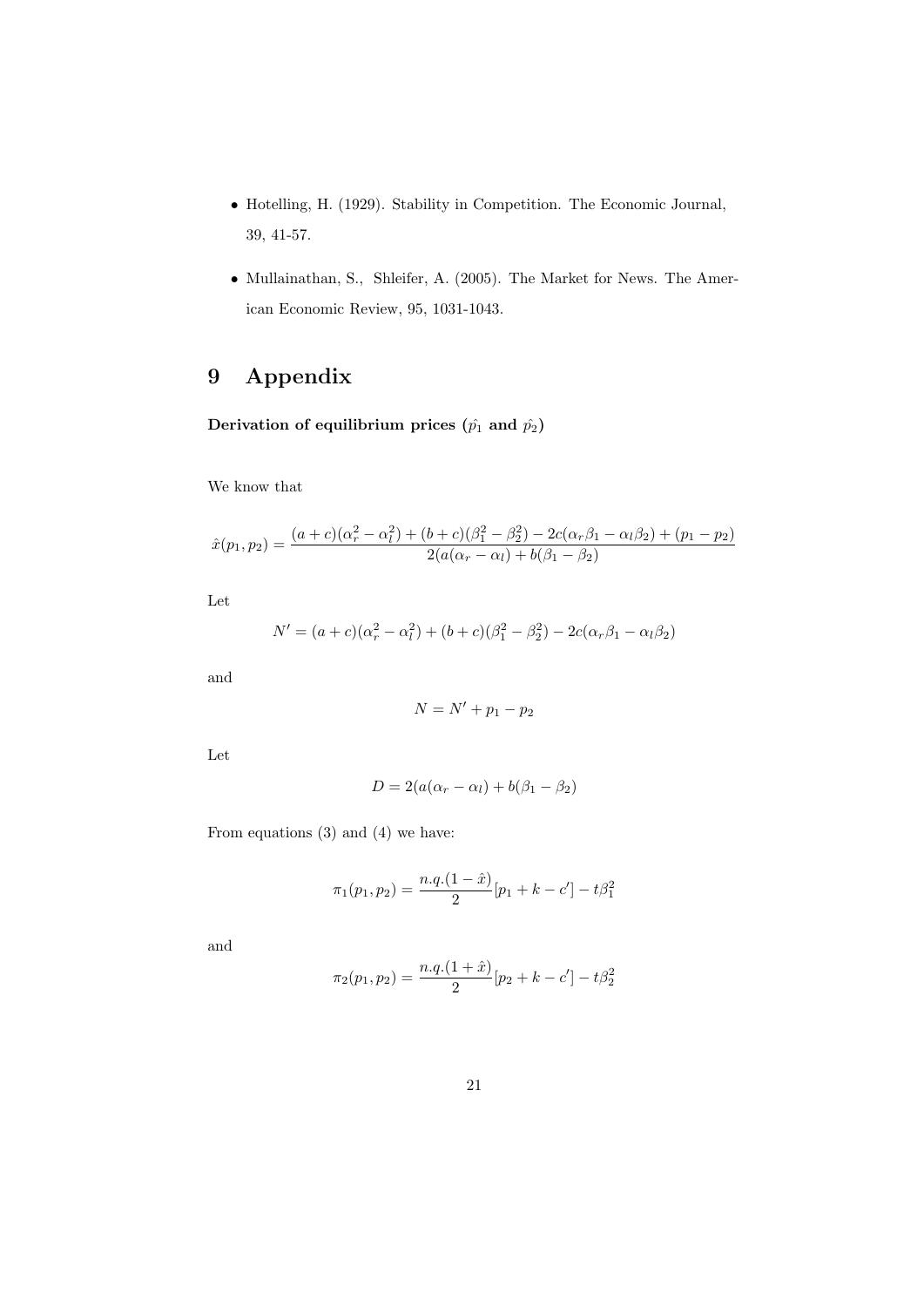- Hotelling, H. (1929). Stability in Competition. The Economic Journal, 39, 41-57.
- Mullainathan, S., Shleifer, A. (2005). The Market for News. The American Economic Review, 95, 1031-1043.

# 9 Appendix

Derivation of equilibrium prices  $(\hat{p_1}$  and  $\hat{p_2})$ 

We know that

$$
\hat{x}(p_1, p_2) = \frac{(a+c)(\alpha_r^2 - \alpha_l^2) + (b+c)(\beta_1^2 - \beta_2^2) - 2c(\alpha_r\beta_1 - \alpha_l\beta_2) + (p_1 - p_2)}{2(a(\alpha_r - \alpha_l) + b(\beta_1 - \beta_2))}
$$

Let

$$
N' = (a+c)(\alpha_r^2 - \alpha_l^2) + (b+c)(\beta_1^2 - \beta_2^2) - 2c(\alpha_r\beta_1 - \alpha_l\beta_2)
$$

and

$$
N = N' + p_1 - p_2
$$

Let

$$
D = 2(a(\alpha_r - \alpha_l) + b(\beta_1 - \beta_2))
$$

From equations (3) and (4) we have:

$$
\pi_1(p_1, p_2) = \frac{n \cdot q \cdot (1 - \hat{x})}{2} [p_1 + k - c'] - t \beta_1^2
$$

and

$$
\pi_2(p_1, p_2) = \frac{n \cdot q \cdot (1 + \hat{x})}{2} [p_2 + k - c'] - t \beta_2^2
$$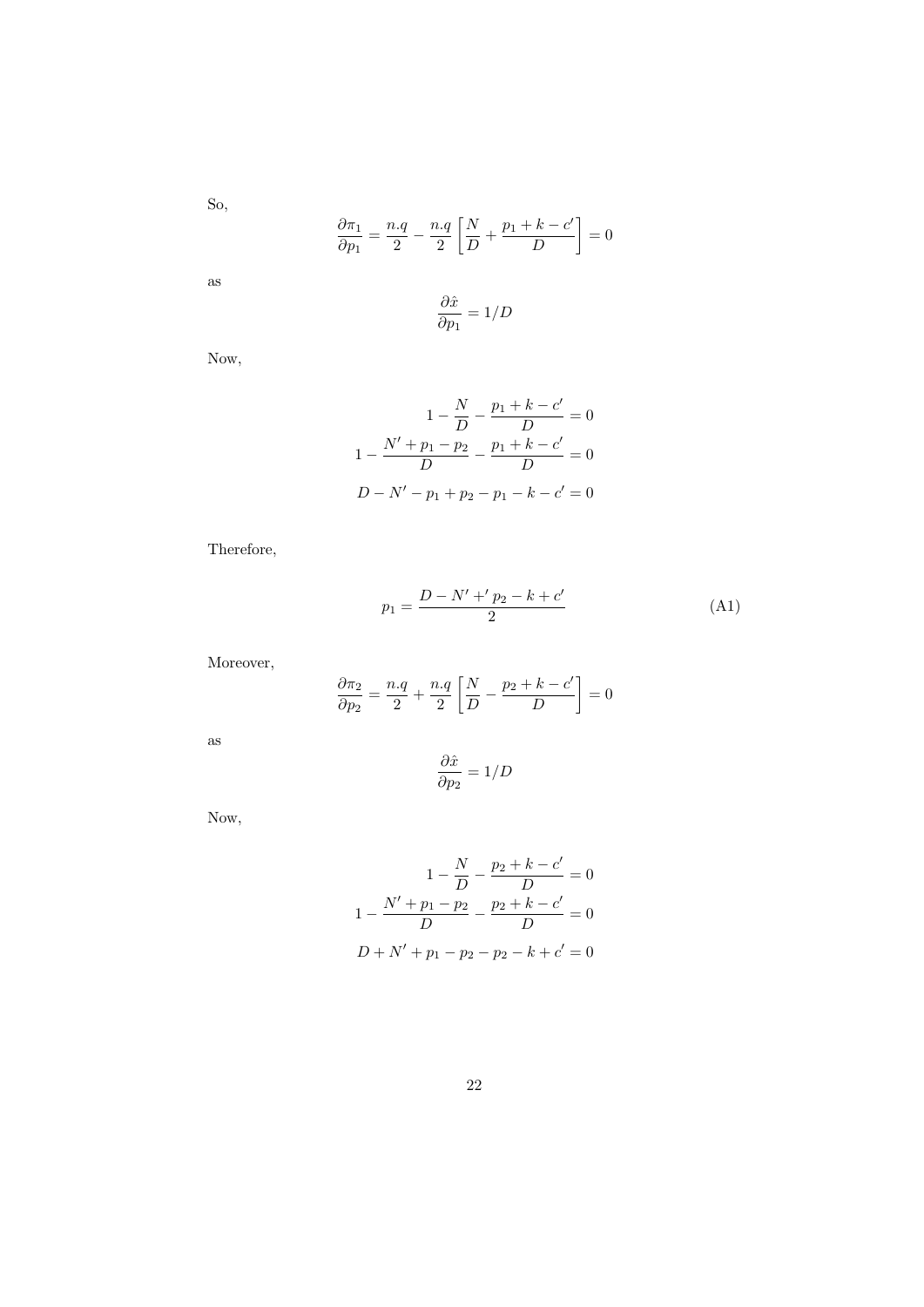So,

$$
\frac{\partial \pi_1}{\partial p_1} = \frac{n.q}{2} - \frac{n.q}{2} \left[ \frac{N}{D} + \frac{p_1 + k - c'}{D} \right] = 0
$$

as

$$
\frac{\partial \hat{x}}{\partial p_1} = 1/D
$$

Now,

$$
1 - \frac{N}{D} - \frac{p_1 + k - c'}{D} = 0
$$

$$
1 - \frac{N' + p_1 - p_2}{D} - \frac{p_1 + k - c'}{D} = 0
$$

$$
D - N' - p_1 + p_2 - p_1 - k - c' = 0
$$

Therefore,

$$
p_1 = \frac{D - N' + 'p_2 - k + c'}{2} \tag{A1}
$$

Moreover,

$$
\frac{\partial \pi_2}{\partial p_2} = \frac{n.q}{2} + \frac{n.q}{2} \left[ \frac{N}{D} - \frac{p_2 + k - c'}{D} \right] = 0
$$

as

$$
\frac{\partial \hat{x}}{\partial p_2} = 1/D
$$

Now,

$$
1 - \frac{N}{D} - \frac{p_2 + k - c'}{D} = 0
$$

$$
1 - \frac{N' + p_1 - p_2}{D} - \frac{p_2 + k - c'}{D} = 0
$$

$$
D + N' + p_1 - p_2 - p_2 - k + c' = 0
$$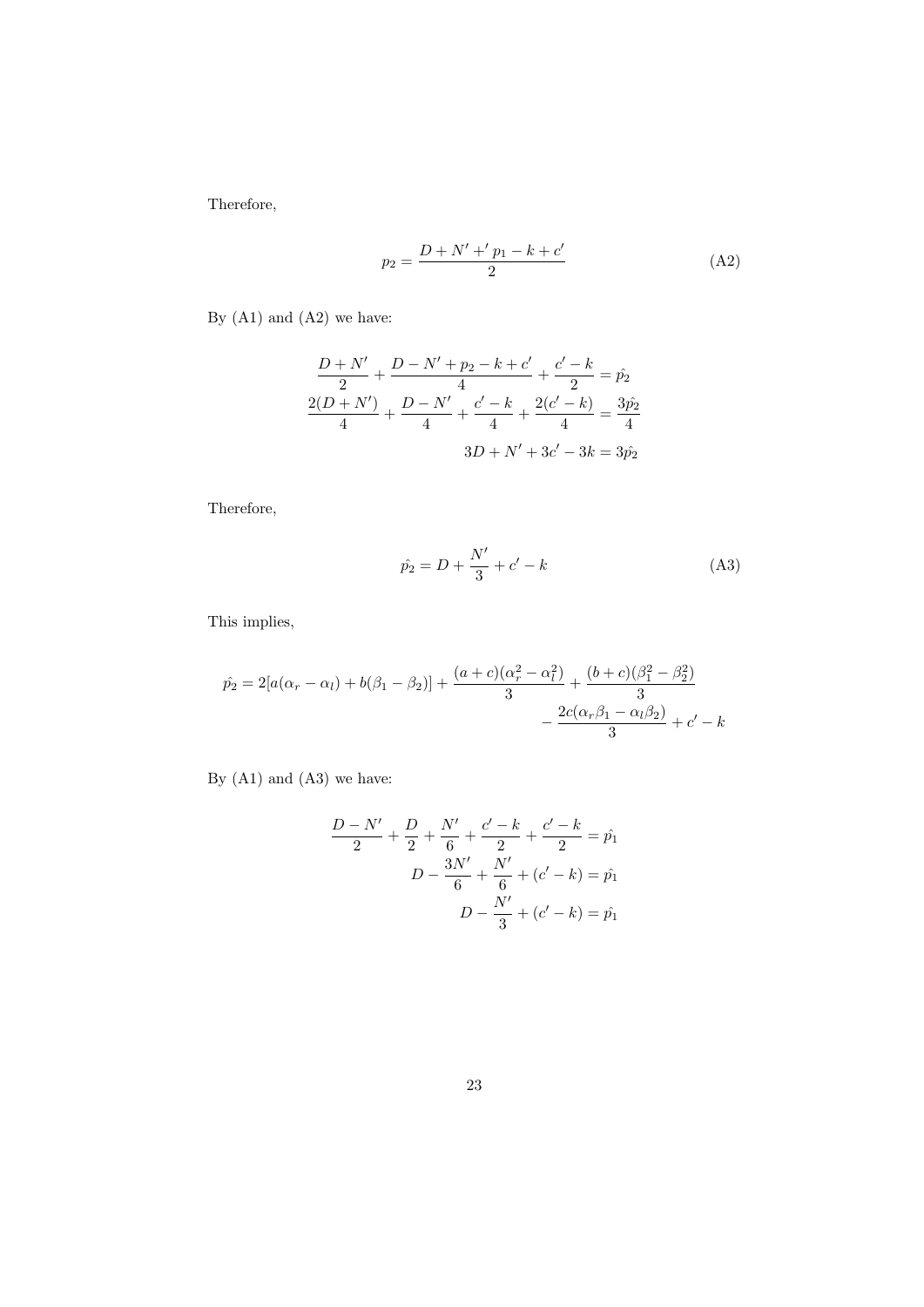Therefore,

$$
p_2 = \frac{D + N' + 'p_1 - k + c'}{2} \tag{A2}
$$

By  $(A1)$  and  $(A2)$  we have:

$$
\frac{D+N'}{2} + \frac{D-N'+p_2-k+c'}{4} + \frac{c'-k}{2} = \hat{p_2}
$$

$$
\frac{2(D+N')}{4} + \frac{D-N'}{4} + \frac{c'-k}{4} + \frac{2(c'-k)}{4} = \frac{3\hat{p_2}}{4}
$$

$$
3D+N'+3c'-3k = 3\hat{p_2}
$$

Therefore,

$$
\hat{p_2} = D + \frac{N'}{3} + c' - k \tag{A3}
$$

This implies,

$$
\hat{p}_2 = 2[a(\alpha_r - \alpha_l) + b(\beta_1 - \beta_2)] + \frac{(a+c)(\alpha_r^2 - \alpha_l^2)}{3} + \frac{(b+c)(\beta_1^2 - \beta_2^2)}{3} - \frac{2c(\alpha_r\beta_1 - \alpha_l\beta_2)}{3} + c' - k
$$

By (A1) and (A3) we have:

$$
\frac{D - N'}{2} + \frac{D}{2} + \frac{N'}{6} + \frac{c' - k}{2} + \frac{c' - k}{2} = \hat{p}_1
$$

$$
D - \frac{3N'}{6} + \frac{N'}{6} + (c' - k) = \hat{p}_1
$$

$$
D - \frac{N'}{3} + (c' - k) = \hat{p}_1
$$